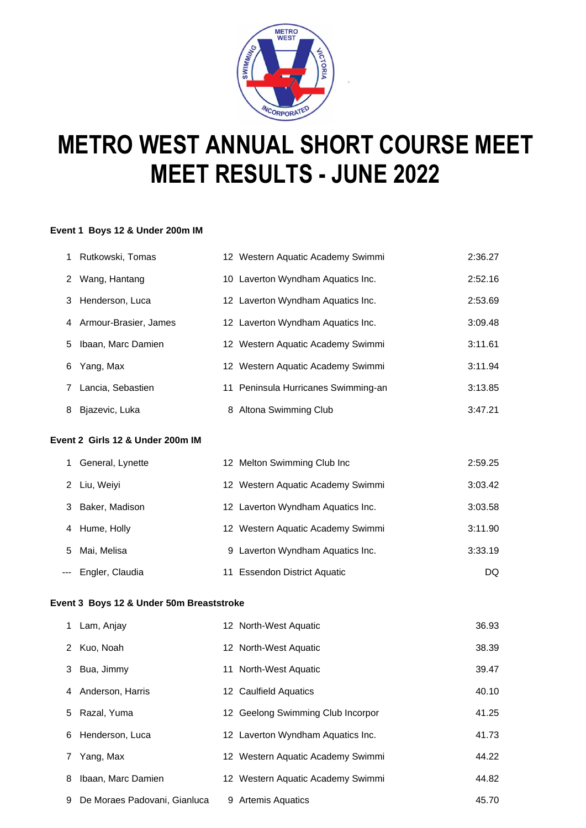

# **METRO WEST ANNUAL SHORT COURSE MEET MEET RESULTS - JUNE 2022**

#### **Event 1 Boys 12 & Under 200m IM**

| 1. | Rutkowski, Tomas        | 12 Western Aquatic Academy Swimmi   | 2:36.27 |
|----|-------------------------|-------------------------------------|---------|
| 2  | Wang, Hantang           | 10 Laverton Wyndham Aquatics Inc.   | 2:52.16 |
|    | 3 Henderson, Luca       | 12 Laverton Wyndham Aquatics Inc.   | 2:53.69 |
|    | 4 Armour-Brasier, James | 12 Laverton Wyndham Aquatics Inc.   | 3:09.48 |
| 5  | Ibaan, Marc Damien      | 12 Western Aquatic Academy Swimmi   | 3:11.61 |
| 6  | Yang, Max               | 12 Western Aquatic Academy Swimmi   | 3:11.94 |
|    | Lancia, Sebastien       | 11 Peninsula Hurricanes Swimming-an | 3:13.85 |
| 8  | Bjazevic, Luka          | 8 Altona Swimming Club              | 3:47.21 |

# **Event 2 Girls 12 & Under 200m IM**

|    | General, Lynette | 12 Melton Swimming Club Inc       | 2:59.25 |
|----|------------------|-----------------------------------|---------|
|    | 2 Liu, Weiyi     | 12 Western Aquatic Academy Swimmi | 3:03.42 |
|    | 3 Baker, Madison | 12 Laverton Wyndham Aquatics Inc. | 3:03.58 |
|    | 4 Hume, Holly    | 12 Western Aquatic Academy Swimmi | 3:11.90 |
| 5. | Mai, Melisa      | 9 Laverton Wyndham Aquatics Inc.  | 3:33.19 |
|    | Engler, Claudia  | 11 Essendon District Aquatic      | DQ.     |

#### **Event 3 Boys 12 & Under 50m Breaststroke**

|   | 1 Lam, Anjay                 | 12 North-West Aquatic             | 36.93 |
|---|------------------------------|-----------------------------------|-------|
|   | 2 Kuo, Noah                  | 12 North-West Aquatic             | 38.39 |
|   | 3 Bua, Jimmy                 | 11 North-West Aquatic             | 39.47 |
|   | 4 Anderson, Harris           | 12 Caulfield Aquatics             | 40.10 |
|   | 5 Razal, Yuma                | 12 Geelong Swimming Club Incorpor | 41.25 |
|   | 6 Henderson, Luca            | 12 Laverton Wyndham Aquatics Inc. | 41.73 |
|   | Yang, Max                    | 12 Western Aquatic Academy Swimmi | 44.22 |
| 8 | Ibaan, Marc Damien           | 12 Western Aquatic Academy Swimmi | 44.82 |
| 9 | De Moraes Padovani, Gianluca | 9 Artemis Aquatics                | 45.70 |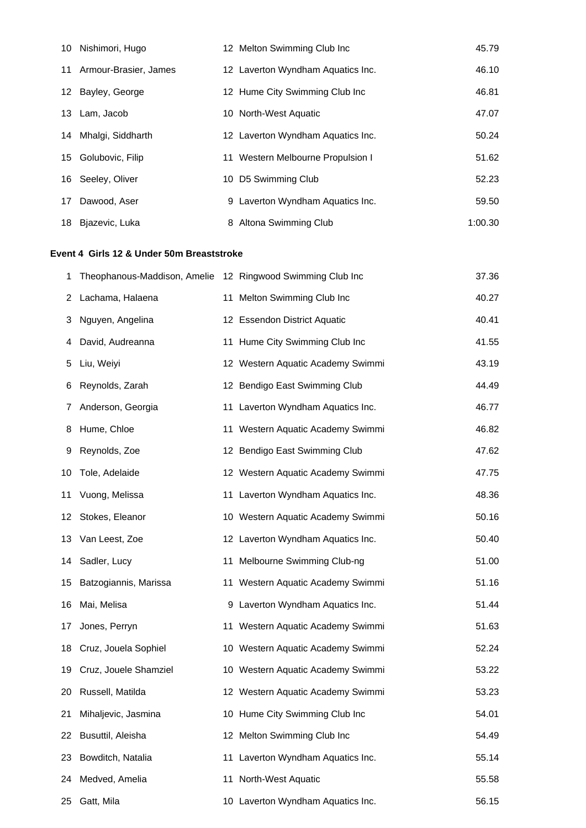| 10 Nishimori, Hugo       | 12 Melton Swimming Club Inc       | 45.79   |
|--------------------------|-----------------------------------|---------|
| 11 Armour-Brasier, James | 12 Laverton Wyndham Aquatics Inc. | 46.10   |
| 12 Bayley, George        | 12 Hume City Swimming Club Inc    | 46.81   |
| 13 Lam, Jacob            | 10 North-West Aquatic             | 47.07   |
| 14 Mhalgi, Siddharth     | 12 Laverton Wyndham Aquatics Inc. | 50.24   |
| 15 Golubovic, Filip      | 11 Western Melbourne Propulsion I | 51.62   |
| 16 Seeley, Oliver        | 10 D5 Swimming Club               | 52.23   |
| 17 Dawood, Aser          | 9 Laverton Wyndham Aquatics Inc.  | 59.50   |
| 18 Bjazevic, Luka        | 8 Altona Swimming Club            | 1:00.30 |

# **Event 4 Girls 12 & Under 50m Breaststroke**

| 1  | Theophanous-Maddison, Amelie |    | 12 Ringwood Swimming Club Inc     | 37.36 |
|----|------------------------------|----|-----------------------------------|-------|
| 2  | Lachama, Halaena             |    | 11 Melton Swimming Club Inc       | 40.27 |
| З  | Nguyen, Angelina             |    | 12 Essendon District Aquatic      | 40.41 |
| 4  | David, Audreanna             |    | 11 Hume City Swimming Club Inc    | 41.55 |
| 5  | Liu, Weiyi                   |    | 12 Western Aquatic Academy Swimmi | 43.19 |
| 6  | Reynolds, Zarah              |    | 12 Bendigo East Swimming Club     | 44.49 |
| 7  | Anderson, Georgia            |    | 11 Laverton Wyndham Aquatics Inc. | 46.77 |
| 8  | Hume, Chloe                  |    | 11 Western Aquatic Academy Swimmi | 46.82 |
| 9  | Reynolds, Zoe                |    | 12 Bendigo East Swimming Club     | 47.62 |
| 10 | Tole, Adelaide               |    | 12 Western Aquatic Academy Swimmi | 47.75 |
| 11 | Vuong, Melissa               |    | 11 Laverton Wyndham Aquatics Inc. | 48.36 |
|    | 12 Stokes, Eleanor           |    | 10 Western Aquatic Academy Swimmi | 50.16 |
| 13 | Van Leest, Zoe               |    | 12 Laverton Wyndham Aquatics Inc. | 50.40 |
|    | 14 Sadler, Lucy              |    | 11 Melbourne Swimming Club-ng     | 51.00 |
| 15 | Batzogiannis, Marissa        |    | 11 Western Aquatic Academy Swimmi | 51.16 |
| 16 | Mai, Melisa                  |    | 9 Laverton Wyndham Aquatics Inc.  | 51.44 |
| 17 | Jones, Perryn                |    | 11 Western Aquatic Academy Swimmi | 51.63 |
| 18 | Cruz, Jouela Sophiel         |    | 10 Western Aquatic Academy Swimmi | 52.24 |
| 19 | Cruz, Jouele Shamziel        |    | 10 Western Aquatic Academy Swimmi | 53.22 |
| 20 | Russell, Matilda             |    | 12 Western Aquatic Academy Swimmi | 53.23 |
| 21 | Mihaljevic, Jasmina          |    | 10 Hume City Swimming Club Inc    | 54.01 |
| 22 | Busuttil, Aleisha            |    | 12 Melton Swimming Club Inc       | 54.49 |
| 23 | Bowditch, Natalia            |    | 11 Laverton Wyndham Aquatics Inc. | 55.14 |
| 24 | Medved, Amelia               | 11 | North-West Aquatic                | 55.58 |
| 25 | Gatt, Mila                   |    | 10 Laverton Wyndham Aquatics Inc. | 56.15 |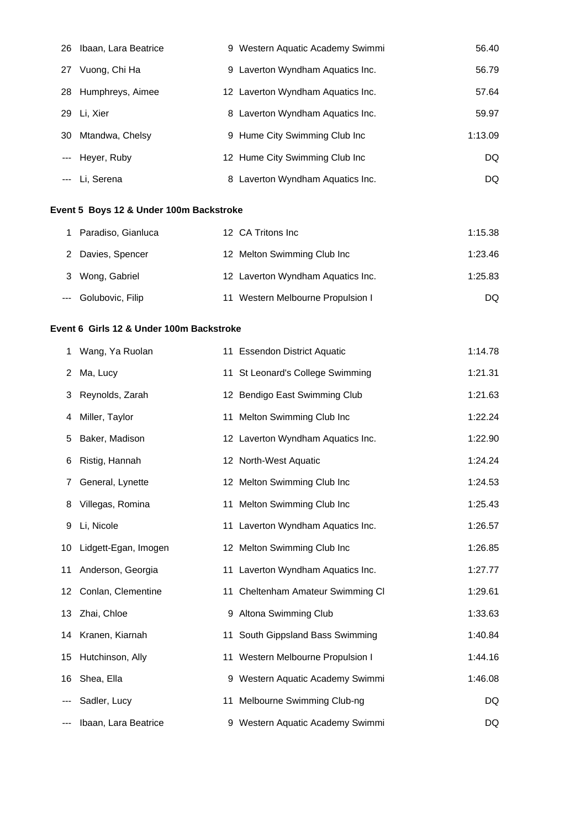|       | 26 Ibaan, Lara Beatrice |   | 9 Western Aquatic Academy Swimmi  | 56.40   |
|-------|-------------------------|---|-----------------------------------|---------|
| 27    | Vuong, Chi Ha           |   | 9 Laverton Wyndham Aquatics Inc.  | 56.79   |
|       | 28 Humphreys, Aimee     |   | 12 Laverton Wyndham Aquatics Inc. | 57.64   |
|       | 29 Li. Xier             |   | 8 Laverton Wyndham Aquatics Inc.  | 59.97   |
| 30    | Mtandwa, Chelsy         |   | 9 Hume City Swimming Club Inc     | 1:13.09 |
|       | Heyer, Ruby             |   | 12 Hume City Swimming Club Inc    | DQ.     |
| $---$ | Li. Serena              | 8 | Laverton Wyndham Aquatics Inc.    | DQ.     |

# **Event 5 Boys 12 & Under 100m Backstroke**

| Paradiso, Gianluca   | 12 CA Tritons Inc                    | 1:15.38 |
|----------------------|--------------------------------------|---------|
| 2 Davies, Spencer    | 12 Melton Swimming Club Inc          | 1:23.46 |
| 3 Wong, Gabriel      | 12 Laverton Wyndham Aquatics Inc.    | 1:25.83 |
| --- Golubovic, Filip | Western Melbourne Propulsion I<br>11 | DQ.     |

## **Event 6 Girls 12 & Under 100m Backstroke**

| 1  | Wang, Ya Ruolan         | 11 Essendon District Aquatic      | 1:14.78 |
|----|-------------------------|-----------------------------------|---------|
| 2  | Ma, Lucy                | 11 St Leonard's College Swimming  | 1:21.31 |
| 3  | Reynolds, Zarah         | 12 Bendigo East Swimming Club     | 1:21.63 |
| 4  | Miller, Taylor          | 11 Melton Swimming Club Inc       | 1:22.24 |
| 5  | Baker, Madison          | 12 Laverton Wyndham Aquatics Inc. | 1:22.90 |
| 6  | Ristig, Hannah          | 12 North-West Aquatic             | 1:24.24 |
| 7  | General, Lynette        | 12 Melton Swimming Club Inc       | 1:24.53 |
| 8  | Villegas, Romina        | 11 Melton Swimming Club Inc       | 1:25.43 |
| 9  | Li, Nicole              | 11 Laverton Wyndham Aquatics Inc. | 1:26.57 |
|    | 10 Lidgett-Egan, Imogen | 12 Melton Swimming Club Inc       | 1:26.85 |
| 11 | Anderson, Georgia       | 11 Laverton Wyndham Aquatics Inc. | 1:27.77 |
|    | 12 Conlan, Clementine   | 11 Cheltenham Amateur Swimming CI | 1:29.61 |
|    | 13 Zhai, Chloe          | 9 Altona Swimming Club            | 1:33.63 |
|    | 14 Kranen, Kiarnah      | 11 South Gippsland Bass Swimming  | 1:40.84 |
|    | 15 Hutchinson, Ally     | 11 Western Melbourne Propulsion I | 1:44.16 |
|    | 16 Shea, Ella           | 9 Western Aquatic Academy Swimmi  | 1:46.08 |
|    | Sadler, Lucy            | 11 Melbourne Swimming Club-ng     | DQ      |
|    | Ibaan, Lara Beatrice    | 9 Western Aquatic Academy Swimmi  | DQ      |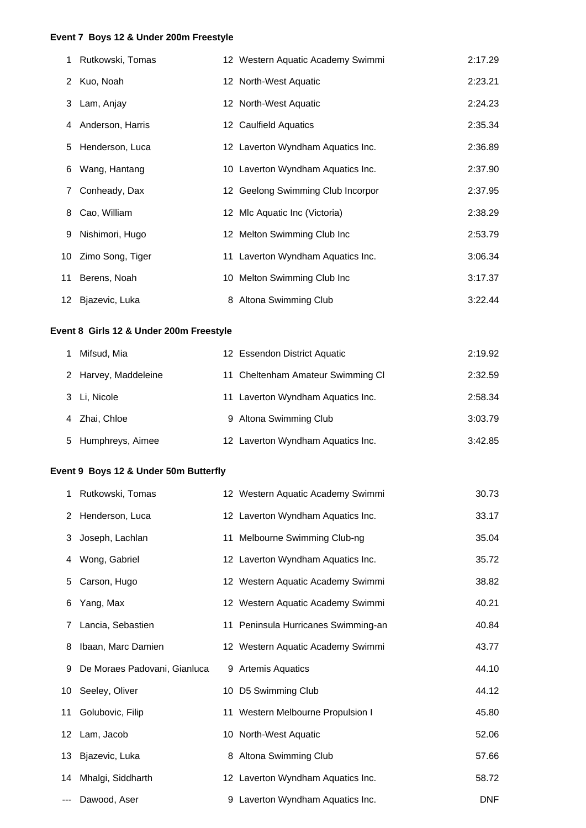#### **Event 7 Boys 12 & Under 200m Freestyle**

|   | 1 Rutkowski, Tomas  | 12 Western Aquatic Academy Swimmi | 2:17.29 |
|---|---------------------|-----------------------------------|---------|
|   | 2 Kuo, Noah         | 12 North-West Aquatic             | 2:23.21 |
|   | 3 Lam, Anjay        | 12 North-West Aquatic             | 2:24.23 |
|   | 4 Anderson, Harris  | 12 Caulfield Aquatics             | 2:35.34 |
|   | 5 Henderson, Luca   | 12 Laverton Wyndham Aquatics Inc. | 2:36.89 |
| 6 | Wang, Hantang       | 10 Laverton Wyndham Aquatics Inc. | 2:37.90 |
| 7 | Conheady, Dax       | 12 Geelong Swimming Club Incorpor | 2:37.95 |
| 8 | Cao, William        | 12 Mlc Aquatic Inc (Victoria)     | 2:38.29 |
| 9 | Nishimori, Hugo     | 12 Melton Swimming Club Inc       | 2:53.79 |
|   | 10 Zimo Song, Tiger | 11 Laverton Wyndham Aquatics Inc. | 3:06.34 |
|   | 11 Berens, Noah     | 10 Melton Swimming Club Inc       | 3:17.37 |
|   | 12 Bjazevic, Luka   | 8 Altona Swimming Club            | 3:22.44 |

## **Event 8 Girls 12 & Under 200m Freestyle**

| Mifsud, Mia          | 12 Essendon District Aquatic      | 2:19.92 |
|----------------------|-----------------------------------|---------|
| 2 Harvey, Maddeleine | 11 Cheltenham Amateur Swimming CI | 2:32.59 |
| 3 Li, Nicole         | 11 Laverton Wyndham Aquatics Inc. | 2:58.34 |
| 4 Zhai, Chloe        | 9 Altona Swimming Club            | 3:03.79 |
| 5 Humphreys, Aimee   | 12 Laverton Wyndham Aquatics Inc. | 3:42.85 |

## **Event 9 Boys 12 & Under 50m Butterfly**

| 1  | Rutkowski, Tomas             | 12 Western Aquatic Academy Swimmi   | 30.73      |
|----|------------------------------|-------------------------------------|------------|
|    | 2 Henderson, Luca            | 12 Laverton Wyndham Aquatics Inc.   | 33.17      |
|    | 3 Joseph, Lachlan            | 11 Melbourne Swimming Club-ng       | 35.04      |
| 4  | Wong, Gabriel                | 12 Laverton Wyndham Aquatics Inc.   | 35.72      |
| 5. | Carson, Hugo                 | 12 Western Aquatic Academy Swimmi   | 38.82      |
| 6  | Yang, Max                    | 12 Western Aquatic Academy Swimmi   | 40.21      |
| 7  | Lancia, Sebastien            | 11 Peninsula Hurricanes Swimming-an | 40.84      |
| 8  | Ibaan, Marc Damien           | 12 Western Aquatic Academy Swimmi   | 43.77      |
| 9  | De Moraes Padovani, Gianluca | 9 Artemis Aquatics                  | 44.10      |
|    | 10 Seeley, Oliver            | 10 D5 Swimming Club                 | 44.12      |
|    | 11 Golubovic, Filip          | 11 Western Melbourne Propulsion I   | 45.80      |
|    | 12 Lam, Jacob                | 10 North-West Aquatic               | 52.06      |
|    | 13 Bjazevic, Luka            | 8 Altona Swimming Club              | 57.66      |
|    | 14 Mhalgi, Siddharth         | 12 Laverton Wyndham Aquatics Inc.   | 58.72      |
|    | --- Dawood, Aser             | 9 Laverton Wyndham Aquatics Inc.    | <b>DNF</b> |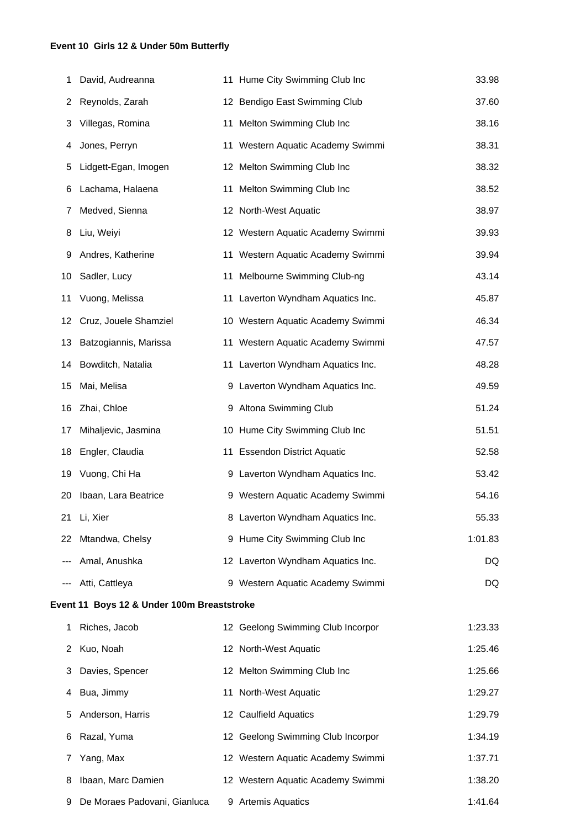# **Event 10 Girls 12 & Under 50m Butterfly**

| 1  | David, Audreanna                           | 11 Hume City Swimming Club Inc    | 33.98   |
|----|--------------------------------------------|-----------------------------------|---------|
| 2  | Reynolds, Zarah                            | 12 Bendigo East Swimming Club     | 37.60   |
| 3  | Villegas, Romina                           | 11 Melton Swimming Club Inc       | 38.16   |
| 4  | Jones, Perryn                              | 11 Western Aquatic Academy Swimmi | 38.31   |
| 5  | Lidgett-Egan, Imogen                       | 12 Melton Swimming Club Inc       | 38.32   |
| 6  | Lachama, Halaena                           | 11 Melton Swimming Club Inc       | 38.52   |
| 7  | Medved, Sienna                             | 12 North-West Aquatic             | 38.97   |
| 8  | Liu, Weiyi                                 | 12 Western Aquatic Academy Swimmi | 39.93   |
| 9  | Andres, Katherine                          | 11 Western Aquatic Academy Swimmi | 39.94   |
| 10 | Sadler, Lucy                               | 11 Melbourne Swimming Club-ng     | 43.14   |
| 11 | Vuong, Melissa                             | 11 Laverton Wyndham Aquatics Inc. | 45.87   |
| 12 | Cruz, Jouele Shamziel                      | 10 Western Aquatic Academy Swimmi | 46.34   |
| 13 | Batzogiannis, Marissa                      | 11 Western Aquatic Academy Swimmi | 47.57   |
| 14 | Bowditch, Natalia                          | 11 Laverton Wyndham Aquatics Inc. | 48.28   |
| 15 | Mai, Melisa                                | 9 Laverton Wyndham Aquatics Inc.  | 49.59   |
| 16 | Zhai, Chloe                                | 9 Altona Swimming Club            | 51.24   |
| 17 | Mihaljevic, Jasmina                        | 10 Hume City Swimming Club Inc    | 51.51   |
| 18 | Engler, Claudia                            | 11 Essendon District Aquatic      | 52.58   |
| 19 | Vuong, Chi Ha                              | 9 Laverton Wyndham Aquatics Inc.  | 53.42   |
| 20 | Ibaan, Lara Beatrice                       | 9 Western Aquatic Academy Swimmi  | 54.16   |
| 21 | Li, Xier                                   | 8 Laverton Wyndham Aquatics Inc.  | 55.33   |
| 22 | Mtandwa, Chelsy                            | 9 Hume City Swimming Club Inc     | 1:01.83 |
|    | Amal, Anushka                              | 12 Laverton Wyndham Aquatics Inc. | DQ      |
|    | Atti, Cattleya                             | 9 Western Aquatic Academy Swimmi  | DQ      |
|    | Event 11 Boys 12 & Under 100m Breaststroke |                                   |         |
| 1  | Riches, Jacob                              | 12 Geelong Swimming Club Incorpor | 1:23.33 |
| 2  | Kuo, Noah                                  | 12 North-West Aquatic             | 1:25.46 |
| 3  | Davies, Spencer                            | 12 Melton Swimming Club Inc       | 1:25.66 |
| 4  | Bua, Jimmy                                 | 11 North-West Aquatic             | 1:29.27 |
| 5  | Anderson, Harris                           | 12 Caulfield Aquatics             | 1:29.79 |
| 6  | Razal, Yuma                                | 12 Geelong Swimming Club Incorpor | 1:34.19 |
| 7  | Yang, Max                                  | 12 Western Aquatic Academy Swimmi | 1:37.71 |
| 8  | Ibaan, Marc Damien                         | 12 Western Aquatic Academy Swimmi | 1:38.20 |
| 9  | De Moraes Padovani, Gianluca               | 9 Artemis Aquatics                | 1:41.64 |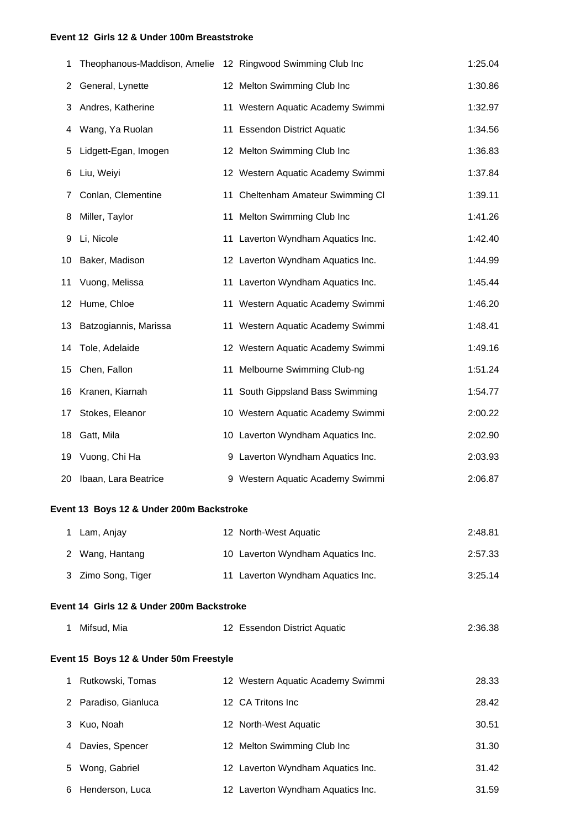#### **Event 12 Girls 12 & Under 100m Breaststroke**

| 1  | Theophanous-Maddison, Amelie 12 Ringwood Swimming Club Inc |                                   | 1:25.04 |
|----|------------------------------------------------------------|-----------------------------------|---------|
| 2  | General, Lynette                                           | 12 Melton Swimming Club Inc       | 1:30.86 |
| 3  | Andres, Katherine                                          | 11 Western Aquatic Academy Swimmi | 1:32.97 |
| 4  | Wang, Ya Ruolan                                            | 11 Essendon District Aquatic      | 1:34.56 |
| 5  | Lidgett-Egan, Imogen                                       | 12 Melton Swimming Club Inc       | 1:36.83 |
| 6  | Liu, Weiyi                                                 | 12 Western Aquatic Academy Swimmi | 1:37.84 |
| 7  | Conlan, Clementine                                         | 11 Cheltenham Amateur Swimming CI | 1:39.11 |
| 8  | Miller, Taylor                                             | 11 Melton Swimming Club Inc       | 1:41.26 |
| 9  | Li, Nicole                                                 | 11 Laverton Wyndham Aquatics Inc. | 1:42.40 |
| 10 | Baker, Madison                                             | 12 Laverton Wyndham Aquatics Inc. | 1:44.99 |
| 11 | Vuong, Melissa                                             | 11 Laverton Wyndham Aquatics Inc. | 1:45.44 |
| 12 | Hume, Chloe                                                | 11 Western Aquatic Academy Swimmi | 1:46.20 |
| 13 | Batzogiannis, Marissa                                      | 11 Western Aquatic Academy Swimmi | 1:48.41 |
| 14 | Tole, Adelaide                                             | 12 Western Aquatic Academy Swimmi | 1:49.16 |
| 15 | Chen, Fallon                                               | 11 Melbourne Swimming Club-ng     | 1:51.24 |
| 16 | Kranen, Kiarnah                                            | 11 South Gippsland Bass Swimming  | 1:54.77 |
| 17 | Stokes, Eleanor                                            | 10 Western Aquatic Academy Swimmi | 2:00.22 |
| 18 | Gatt, Mila                                                 | 10 Laverton Wyndham Aquatics Inc. | 2:02.90 |
| 19 | Vuong, Chi Ha                                              | 9 Laverton Wyndham Aquatics Inc.  | 2:03.93 |
| 20 | Ibaan, Lara Beatrice                                       | 9 Western Aquatic Academy Swimmi  | 2:06.87 |
|    | Event 13 Boys 12 & Under 200m Backstroke                   |                                   |         |
| 1  | Lam, Anjay                                                 | 12 North-West Aquatic             | 2:48.81 |
| 2  | Wang, Hantang                                              | 10 Laverton Wyndham Aquatics Inc. | 2:57.33 |
| 3  | Zimo Song, Tiger                                           | 11 Laverton Wyndham Aquatics Inc. | 3:25.14 |
|    |                                                            |                                   |         |
|    | Event 14 Girls 12 & Under 200m Backstroke                  |                                   |         |
| 1  | Mifsud, Mia                                                | 12 Essendon District Aquatic      | 2:36.38 |
|    | Event 15 Boys 12 & Under 50m Freestyle                     |                                   |         |
| 1  | Rutkowski, Tomas                                           | 12 Western Aquatic Academy Swimmi | 28.33   |
| 2  | Paradiso, Gianluca                                         | 12 CA Tritons Inc                 | 28.42   |
| 3  | Kuo, Noah                                                  | 12 North-West Aquatic             | 30.51   |
| 4  | Davies, Spencer                                            | 12 Melton Swimming Club Inc       | 31.30   |
| 5  | Wong, Gabriel                                              | 12 Laverton Wyndham Aquatics Inc. | 31.42   |
| 6  | Henderson, Luca                                            | 12 Laverton Wyndham Aquatics Inc. | 31.59   |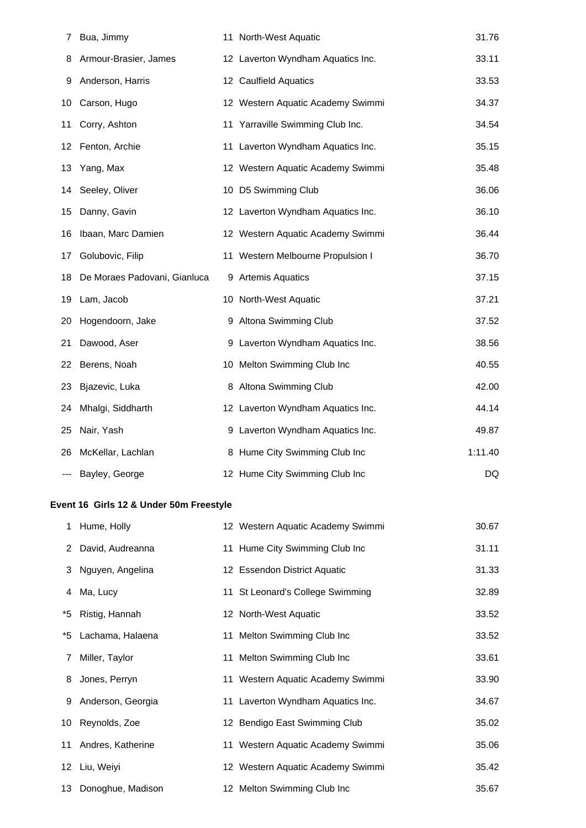| 7   | Bua, Jimmy                   | 11 North-West Aquatic             | 31.76   |
|-----|------------------------------|-----------------------------------|---------|
| 8   | Armour-Brasier, James        | 12 Laverton Wyndham Aquatics Inc. | 33.11   |
| 9   | Anderson, Harris             | 12 Caulfield Aquatics             | 33.53   |
| 10  | Carson, Hugo                 | 12 Western Aquatic Academy Swimmi | 34.37   |
| 11  | Corry, Ashton                | 11 Yarraville Swimming Club Inc.  | 34.54   |
| 12. | Fenton, Archie               | 11 Laverton Wyndham Aquatics Inc. | 35.15   |
| 13  | Yang, Max                    | 12 Western Aquatic Academy Swimmi | 35.48   |
| 14  | Seeley, Oliver               | 10 D5 Swimming Club               | 36.06   |
| 15  | Danny, Gavin                 | 12 Laverton Wyndham Aquatics Inc. | 36.10   |
| 16  | Ibaan, Marc Damien           | 12 Western Aquatic Academy Swimmi | 36.44   |
| 17  | Golubovic, Filip             | 11 Western Melbourne Propulsion I | 36.70   |
| 18  | De Moraes Padovani, Gianluca | 9 Artemis Aquatics                | 37.15   |
| 19  | Lam, Jacob                   | 10 North-West Aquatic             | 37.21   |
| 20  | Hogendoorn, Jake             | 9 Altona Swimming Club            | 37.52   |
| 21  | Dawood, Aser                 | 9 Laverton Wyndham Aquatics Inc.  | 38.56   |
| 22  | Berens, Noah                 | 10 Melton Swimming Club Inc       | 40.55   |
| 23  | Bjazevic, Luka               | 8 Altona Swimming Club            | 42.00   |
| 24  | Mhalgi, Siddharth            | 12 Laverton Wyndham Aquatics Inc. | 44.14   |
| 25  | Nair, Yash                   | 9 Laverton Wyndham Aquatics Inc.  | 49.87   |
| 26  | McKellar, Lachlan            | 8 Hume City Swimming Club Inc     | 1:11.40 |
|     | Bayley, George               | 12 Hume City Swimming Club Inc    | DQ      |

# **Event 16 Girls 12 & Under 50m Freestyle**

| 1 Hume, Holly        | 12 Western Aquatic Academy Swimmi | 30.67 |
|----------------------|-----------------------------------|-------|
| 2 David, Audreanna   | 11 Hume City Swimming Club Inc    | 31.11 |
| 3 Nguyen, Angelina   | 12 Essendon District Aquatic      | 31.33 |
| 4 Ma, Lucy           | 11 St Leonard's College Swimming  | 32.89 |
| *5 Ristig, Hannah    | 12 North-West Aquatic             | 33.52 |
| *5 Lachama, Halaena  | 11 Melton Swimming Club Inc       | 33.52 |
| 7 Miller, Taylor     | 11 Melton Swimming Club Inc       | 33.61 |
| 8 Jones, Perryn      | 11 Western Aquatic Academy Swimmi | 33.90 |
| 9 Anderson, Georgia  | 11 Laverton Wyndham Aquatics Inc. | 34.67 |
| 10 Reynolds, Zoe     | 12 Bendigo East Swimming Club     | 35.02 |
| 11 Andres, Katherine | 11 Western Aquatic Academy Swimmi | 35.06 |
| 12 Liu, Weiyi        | 12 Western Aquatic Academy Swimmi | 35.42 |
| 13 Donoghue, Madison | 12 Melton Swimming Club Inc       | 35.67 |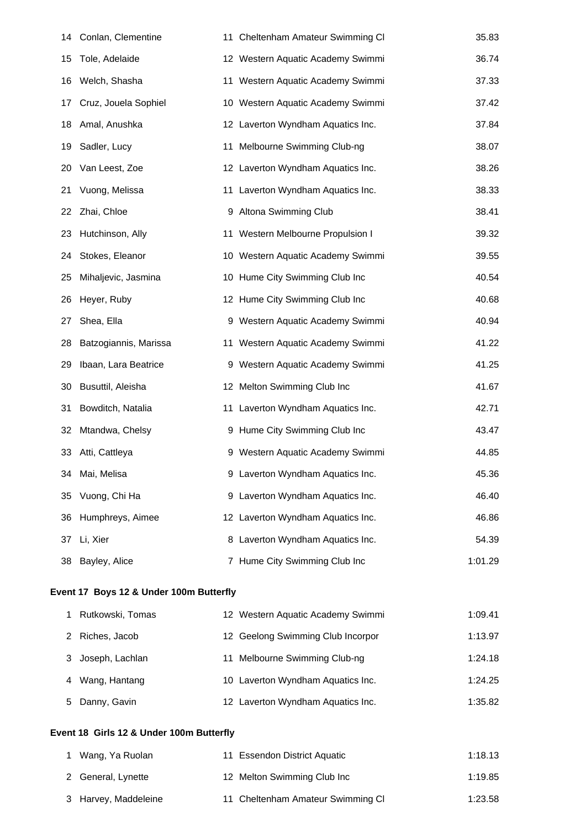| 14 | Conlan, Clementine    |    | 11 Cheltenham Amateur Swimming CI | 35.83   |
|----|-----------------------|----|-----------------------------------|---------|
| 15 | Tole, Adelaide        |    | 12 Western Aquatic Academy Swimmi | 36.74   |
| 16 | Welch, Shasha         |    | 11 Western Aquatic Academy Swimmi | 37.33   |
| 17 | Cruz, Jouela Sophiel  |    | 10 Western Aquatic Academy Swimmi | 37.42   |
| 18 | Amal, Anushka         |    | 12 Laverton Wyndham Aquatics Inc. | 37.84   |
| 19 | Sadler, Lucy          | 11 | Melbourne Swimming Club-ng        | 38.07   |
| 20 | Van Leest, Zoe        |    | 12 Laverton Wyndham Aquatics Inc. | 38.26   |
| 21 | Vuong, Melissa        |    | 11 Laverton Wyndham Aquatics Inc. | 38.33   |
| 22 | Zhai, Chloe           |    | 9 Altona Swimming Club            | 38.41   |
| 23 | Hutchinson, Ally      |    | 11 Western Melbourne Propulsion I | 39.32   |
| 24 | Stokes, Eleanor       |    | 10 Western Aquatic Academy Swimmi | 39.55   |
| 25 | Mihaljevic, Jasmina   |    | 10 Hume City Swimming Club Inc    | 40.54   |
| 26 | Heyer, Ruby           |    | 12 Hume City Swimming Club Inc    | 40.68   |
| 27 | Shea, Ella            |    | 9 Western Aquatic Academy Swimmi  | 40.94   |
| 28 | Batzogiannis, Marissa |    | 11 Western Aquatic Academy Swimmi | 41.22   |
| 29 | Ibaan, Lara Beatrice  |    | 9 Western Aquatic Academy Swimmi  | 41.25   |
| 30 | Busuttil, Aleisha     |    | 12 Melton Swimming Club Inc       | 41.67   |
| 31 | Bowditch, Natalia     |    | 11 Laverton Wyndham Aquatics Inc. | 42.71   |
| 32 | Mtandwa, Chelsy       |    | 9 Hume City Swimming Club Inc     | 43.47   |
| 33 | Atti, Cattleya        |    | 9 Western Aquatic Academy Swimmi  | 44.85   |
|    | 34 Mai, Melisa        |    | 9 Laverton Wyndham Aquatics Inc.  | 45.36   |
| 35 | Vuong, Chi Ha         |    | 9 Laverton Wyndham Aquatics Inc.  | 46.40   |
| 36 | Humphreys, Aimee      |    | 12 Laverton Wyndham Aquatics Inc. | 46.86   |
| 37 | Li, Xier              |    | 8 Laverton Wyndham Aquatics Inc.  | 54.39   |
| 38 | Bayley, Alice         |    | 7 Hume City Swimming Club Inc     | 1:01.29 |
|    |                       |    |                                   |         |

# **Event 17 Boys 12 & Under 100m Butterfly**

| Rutkowski, Tomas  | 12 Western Aquatic Academy Swimmi | 1:09.41 |
|-------------------|-----------------------------------|---------|
| 2 Riches, Jacob   | 12 Geelong Swimming Club Incorpor | 1:13.97 |
| 3 Joseph, Lachlan | 11 Melbourne Swimming Club-ng     | 1:24.18 |
| 4 Wang, Hantang   | 10 Laverton Wyndham Aquatics Inc. | 1:24.25 |
| 5 Danny, Gavin    | 12 Laverton Wyndham Aquatics Inc. | 1:35.82 |

# **Event 18 Girls 12 & Under 100m Butterfly**

| 1 Wang, Ya Ruolan    | 11 Essendon District Aquatic      | 1:18.13 |
|----------------------|-----------------------------------|---------|
| 2 General, Lynette   | 12 Melton Swimming Club Inc       | 1:19.85 |
| 3 Harvey, Maddeleine | 11 Cheltenham Amateur Swimming CI | 1:23.58 |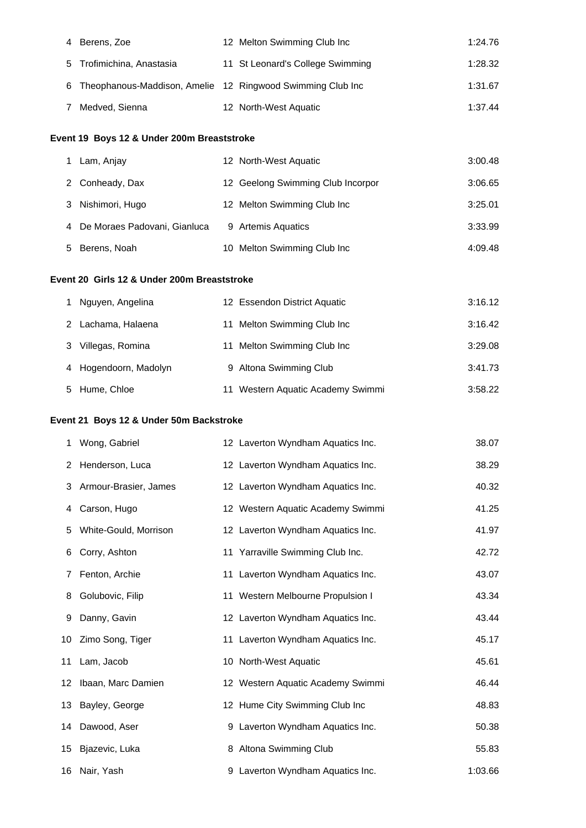|   | 4 Berens, Zoe             | 12 Melton Swimming Club Inc                                  | 1:24.76 |
|---|---------------------------|--------------------------------------------------------------|---------|
|   | 5 Trofimichina, Anastasia | 11 St Leonard's College Swimming                             | 1:28.32 |
|   |                           | 6 Theophanous-Maddison, Amelie 12 Ringwood Swimming Club Inc | 1:31.67 |
| 7 | Medved, Sienna            | 12 North-West Aquatic                                        | 1:37.44 |

# **Event 19 Boys 12 & Under 200m Breaststroke**

|   | Lam, Anjay                   | 12 North-West Aquatic             | 3:00.48 |
|---|------------------------------|-----------------------------------|---------|
|   | 2 Conheady, Dax              | 12 Geelong Swimming Club Incorpor | 3:06.65 |
|   | 3 Nishimori, Hugo            | 12 Melton Swimming Club Inc       | 3:25.01 |
| 4 | De Moraes Padovani, Gianluca | 9 Artemis Aquatics                | 3:33.99 |
|   | 5 Berens, Noah               | 10 Melton Swimming Club Inc       | 4:09.48 |

#### **Event 20 Girls 12 & Under 200m Breaststroke**

|   | Nguyen, Angelina      | 12 Essendon District Aquatic      | 3:16.12 |
|---|-----------------------|-----------------------------------|---------|
|   | Lachama, Halaena      | 11 Melton Swimming Club Inc       | 3:16.42 |
| 3 | Villegas, Romina      | 11 Melton Swimming Club Inc       | 3:29.08 |
|   | 4 Hogendoorn, Madolyn | 9 Altona Swimming Club            | 3:41.73 |
|   | 5 Hume, Chloe         | 11 Western Aquatic Academy Swimmi | 3:58.22 |

# **Event 21 Boys 12 & Under 50m Backstroke**

| 1  | Wong, Gabriel         | 12 Laverton Wyndham Aquatics Inc. | 38.07   |
|----|-----------------------|-----------------------------------|---------|
| 2  | Henderson, Luca       | 12 Laverton Wyndham Aquatics Inc. | 38.29   |
| 3  | Armour-Brasier, James | 12 Laverton Wyndham Aquatics Inc. | 40.32   |
| 4  | Carson, Hugo          | 12 Western Aquatic Academy Swimmi | 41.25   |
| 5  | White-Gould, Morrison | 12 Laverton Wyndham Aquatics Inc. | 41.97   |
| 6  | Corry, Ashton         | 11 Yarraville Swimming Club Inc.  | 42.72   |
| 7  | Fenton, Archie        | 11 Laverton Wyndham Aquatics Inc. | 43.07   |
| 8  | Golubovic, Filip      | 11 Western Melbourne Propulsion I | 43.34   |
| 9  | Danny, Gavin          | 12 Laverton Wyndham Aquatics Inc. | 43.44   |
| 10 | Zimo Song, Tiger      | 11 Laverton Wyndham Aquatics Inc. | 45.17   |
|    | 11 Lam, Jacob         | 10 North-West Aquatic             | 45.61   |
|    | 12 Ibaan, Marc Damien | 12 Western Aquatic Academy Swimmi | 46.44   |
|    | 13 Bayley, George     | 12 Hume City Swimming Club Inc    | 48.83   |
|    | 14 Dawood, Aser       | 9 Laverton Wyndham Aquatics Inc.  | 50.38   |
|    | 15 Bjazevic, Luka     | 8 Altona Swimming Club            | 55.83   |
|    | 16 Nair, Yash         | 9 Laverton Wyndham Aquatics Inc.  | 1:03.66 |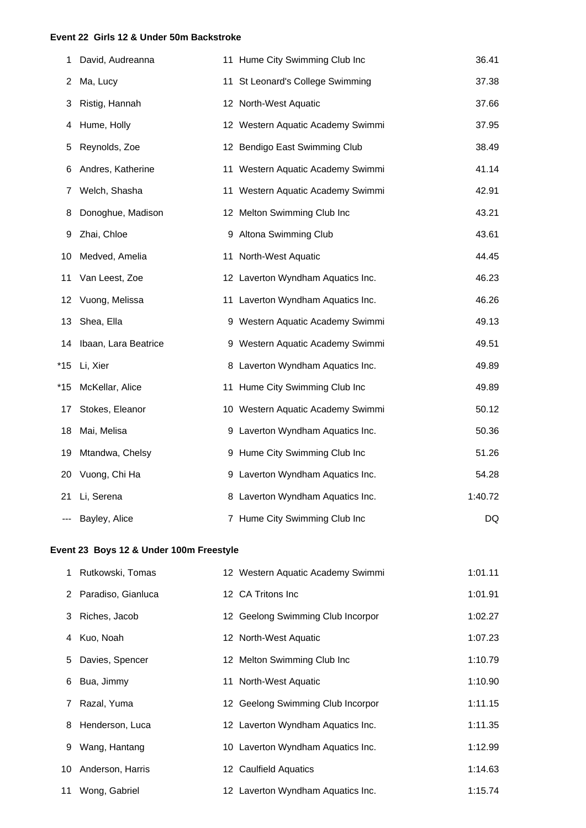### **Event 22 Girls 12 & Under 50m Backstroke**

| 1   | David, Audreanna     | 11 Hume City Swimming Club Inc    | 36.41   |
|-----|----------------------|-----------------------------------|---------|
| 2   | Ma, Lucy             | 11 St Leonard's College Swimming  | 37.38   |
| 3   | Ristig, Hannah       | 12 North-West Aquatic             | 37.66   |
| 4   | Hume, Holly          | 12 Western Aquatic Academy Swimmi | 37.95   |
| 5   | Reynolds, Zoe        | 12 Bendigo East Swimming Club     | 38.49   |
| 6   | Andres, Katherine    | 11 Western Aquatic Academy Swimmi | 41.14   |
| 7   | Welch, Shasha        | 11 Western Aquatic Academy Swimmi | 42.91   |
| 8   | Donoghue, Madison    | 12 Melton Swimming Club Inc       | 43.21   |
| 9   | Zhai, Chloe          | 9 Altona Swimming Club            | 43.61   |
| 10  | Medved, Amelia       | 11 North-West Aquatic             | 44.45   |
| 11  | Van Leest, Zoe       | 12 Laverton Wyndham Aquatics Inc. | 46.23   |
| 12  | Vuong, Melissa       | 11 Laverton Wyndham Aquatics Inc. | 46.26   |
| 13  | Shea, Ella           | 9 Western Aquatic Academy Swimmi  | 49.13   |
| 14  | Ibaan, Lara Beatrice | 9 Western Aquatic Academy Swimmi  | 49.51   |
| *15 | Li, Xier             | 8 Laverton Wyndham Aquatics Inc.  | 49.89   |
| *15 | McKellar, Alice      | 11 Hume City Swimming Club Inc    | 49.89   |
| 17  | Stokes, Eleanor      | 10 Western Aquatic Academy Swimmi | 50.12   |
| 18  | Mai, Melisa          | 9 Laverton Wyndham Aquatics Inc.  | 50.36   |
| 19  | Mtandwa, Chelsy      | 9 Hume City Swimming Club Inc     | 51.26   |
| 20  | Vuong, Chi Ha        | 9 Laverton Wyndham Aquatics Inc.  | 54.28   |
| 21  | Li, Serena           | 8 Laverton Wyndham Aquatics Inc.  | 1:40.72 |
|     | Bayley, Alice        | 7 Hume City Swimming Club Inc     | DQ      |

# **Event 23 Boys 12 & Under 100m Freestyle**

| 1 Rutkowski, Tomas   | 12 Western Aquatic Academy Swimmi | 1:01.11 |
|----------------------|-----------------------------------|---------|
| 2 Paradiso, Gianluca | 12 CA Tritons Inc.                | 1:01.91 |
| 3 Riches, Jacob      | 12 Geelong Swimming Club Incorpor | 1:02.27 |
| 4 Kuo, Noah          | 12 North-West Aquatic             | 1:07.23 |
| 5 Davies, Spencer    | 12 Melton Swimming Club Inc       | 1:10.79 |
| 6 Bua, Jimmy         | 11 North-West Aquatic             | 1:10.90 |
| 7 Razal, Yuma        | 12 Geelong Swimming Club Incorpor | 1:11.15 |
| 8 Henderson, Luca    | 12 Laverton Wyndham Aquatics Inc. | 1:11.35 |
| 9 Wang, Hantang      | 10 Laverton Wyndham Aquatics Inc. | 1:12.99 |
| 10 Anderson, Harris  | 12 Caulfield Aquatics             | 1:14.63 |
| 11 Wong, Gabriel     | 12 Laverton Wyndham Aquatics Inc. | 1:15.74 |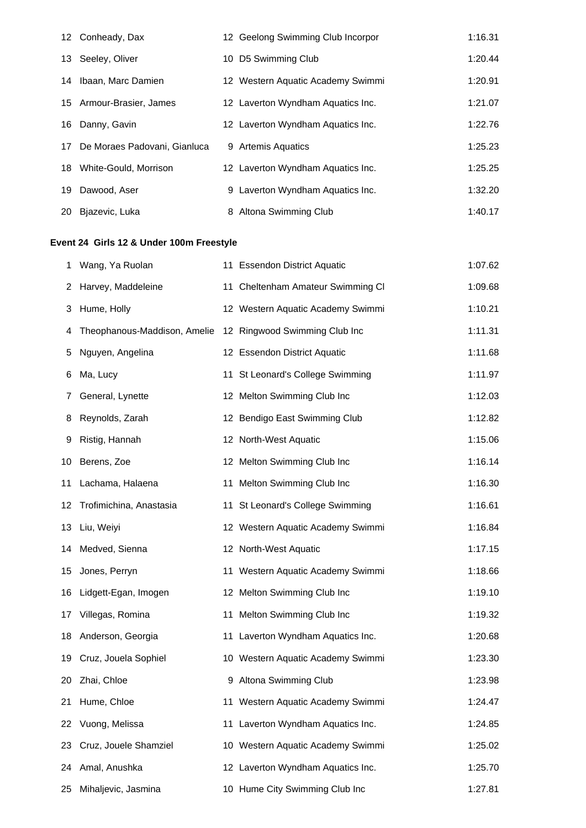|    | 12 Conheady, Dax                | 12 Geelong Swimming Club Incorpor | 1:16.31 |
|----|---------------------------------|-----------------------------------|---------|
|    | 13 Seeley, Oliver               | 10 D5 Swimming Club               | 1:20.44 |
|    | 14 Ibaan, Marc Damien           | 12 Western Aquatic Academy Swimmi | 1:20.91 |
|    | 15 Armour-Brasier, James        | 12 Laverton Wyndham Aquatics Inc. | 1:21.07 |
|    | 16 Danny, Gavin                 | 12 Laverton Wyndham Aquatics Inc. | 1:22.76 |
|    | 17 De Moraes Padovani, Gianluca | 9 Artemis Aquatics                | 1:25.23 |
|    | 18 White-Gould, Morrison        | 12 Laverton Wyndham Aquatics Inc. | 1:25.25 |
| 19 | Dawood, Aser                    | 9 Laverton Wyndham Aquatics Inc.  | 1:32.20 |
| 20 | Biazevic, Luka                  | 8 Altona Swimming Club            | 1:40.17 |

# **Event 24 Girls 12 & Under 100m Freestyle**

| 1               | Wang, Ya Ruolan              | 11 Essendon District Aquatic      | 1:07.62 |
|-----------------|------------------------------|-----------------------------------|---------|
| 2               | Harvey, Maddeleine           | 11 Cheltenham Amateur Swimming CI | 1:09.68 |
| 3               | Hume, Holly                  | 12 Western Aquatic Academy Swimmi | 1:10.21 |
| 4               | Theophanous-Maddison, Amelie | 12 Ringwood Swimming Club Inc     | 1:11.31 |
| 5               | Nguyen, Angelina             | 12 Essendon District Aquatic      | 1:11.68 |
| 6               | Ma, Lucy                     | 11 St Leonard's College Swimming  | 1:11.97 |
| 7               | General, Lynette             | 12 Melton Swimming Club Inc       | 1:12.03 |
| 8               | Reynolds, Zarah              | 12 Bendigo East Swimming Club     | 1:12.82 |
| 9               | Ristig, Hannah               | 12 North-West Aquatic             | 1:15.06 |
| 10              | Berens, Zoe                  | 12 Melton Swimming Club Inc       | 1:16.14 |
| 11              | Lachama, Halaena             | 11 Melton Swimming Club Inc       | 1:16.30 |
| 12              | Trofimichina, Anastasia      | 11 St Leonard's College Swimming  | 1:16.61 |
| 13.             | Liu, Weiyi                   | 12 Western Aquatic Academy Swimmi | 1:16.84 |
|                 | 14 Medved, Sienna            | 12 North-West Aquatic             | 1:17.15 |
| 15              | Jones, Perryn                | 11 Western Aquatic Academy Swimmi | 1:18.66 |
| 16              | Lidgett-Egan, Imogen         | 12 Melton Swimming Club Inc       | 1:19.10 |
| 17 <sub>1</sub> | Villegas, Romina             | 11 Melton Swimming Club Inc       | 1:19.32 |
| 18.             | Anderson, Georgia            | 11 Laverton Wyndham Aquatics Inc. | 1:20.68 |
| 19              | Cruz, Jouela Sophiel         | 10 Western Aquatic Academy Swimmi | 1:23.30 |
| 20              | Zhai, Chloe                  | 9 Altona Swimming Club            | 1:23.98 |
|                 | 21 Hume, Chloe               | 11 Western Aquatic Academy Swimmi | 1:24.47 |
| 22              | Vuong, Melissa               | 11 Laverton Wyndham Aquatics Inc. | 1:24.85 |
| 23              | Cruz, Jouele Shamziel        | 10 Western Aquatic Academy Swimmi | 1:25.02 |
| 24              | Amal, Anushka                | 12 Laverton Wyndham Aquatics Inc. | 1:25.70 |
| 25              | Mihaljevic, Jasmina          | 10 Hume City Swimming Club Inc    | 1:27.81 |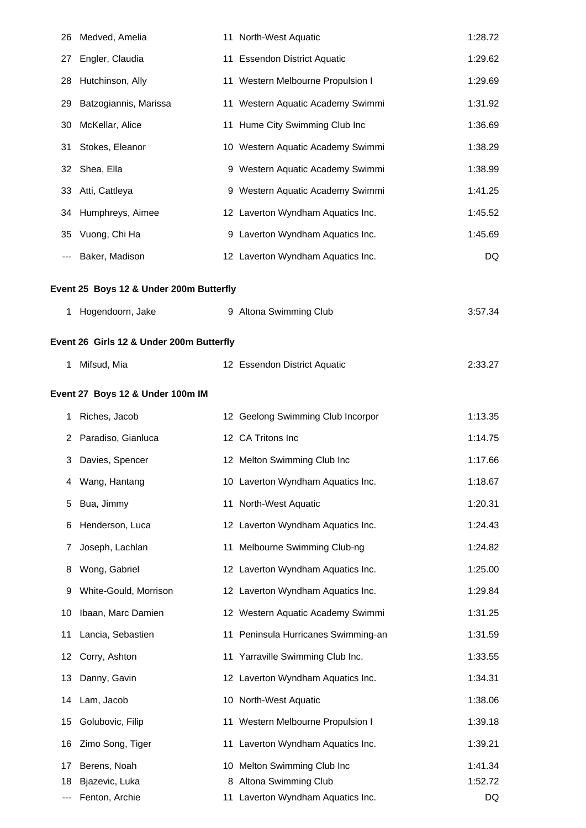| 26 | Medved, Amelia                           | 11 North-West Aquatic               | 1:28.72 |
|----|------------------------------------------|-------------------------------------|---------|
| 27 | Engler, Claudia                          | 11 Essendon District Aquatic        | 1:29.62 |
| 28 | Hutchinson, Ally                         | 11 Western Melbourne Propulsion I   | 1:29.69 |
| 29 | Batzogiannis, Marissa                    | 11 Western Aquatic Academy Swimmi   | 1:31.92 |
| 30 | McKellar, Alice                          | 11 Hume City Swimming Club Inc      | 1:36.69 |
| 31 | Stokes, Eleanor                          | 10 Western Aquatic Academy Swimmi   | 1:38.29 |
| 32 | Shea, Ella                               | 9 Western Aquatic Academy Swimmi    | 1:38.99 |
| 33 | Atti, Cattleya                           | 9 Western Aquatic Academy Swimmi    | 1:41.25 |
|    | 34 Humphreys, Aimee                      | 12 Laverton Wyndham Aquatics Inc.   | 1:45.52 |
| 35 | Vuong, Chi Ha                            | 9 Laverton Wyndham Aquatics Inc.    | 1:45.69 |
|    | Baker, Madison                           | 12 Laverton Wyndham Aquatics Inc.   | DQ      |
|    | Event 25 Boys 12 & Under 200m Butterfly  |                                     |         |
| 1  | Hogendoorn, Jake                         | 9 Altona Swimming Club              | 3:57.34 |
|    | Event 26 Girls 12 & Under 200m Butterfly |                                     |         |
| 1  | Mifsud, Mia                              | 12 Essendon District Aquatic        | 2:33.27 |
|    | Event 27 Boys 12 & Under 100m IM         |                                     |         |
| 1  | Riches, Jacob                            | 12 Geelong Swimming Club Incorpor   | 1:13.35 |
| 2  | Paradiso, Gianluca                       | 12 CA Tritons Inc                   | 1:14.75 |
| 3  | Davies, Spencer                          | 12 Melton Swimming Club Inc         | 1:17.66 |
| 4  | Wang, Hantang                            | 10 Laverton Wyndham Aquatics Inc.   | 1:18.67 |
| 5  | Bua, Jimmy                               | 11 North-West Aquatic               | 1:20.31 |
| 6  | Henderson, Luca                          | 12 Laverton Wyndham Aquatics Inc.   | 1:24.43 |
| 7  | Joseph, Lachlan                          | 11 Melbourne Swimming Club-ng       | 1:24.82 |
| 8  | Wong, Gabriel                            | 12 Laverton Wyndham Aquatics Inc.   | 1:25.00 |
| 9  | White-Gould, Morrison                    | 12 Laverton Wyndham Aquatics Inc.   | 1:29.84 |
| 10 | Ibaan, Marc Damien                       | 12 Western Aquatic Academy Swimmi   | 1:31.25 |
| 11 | Lancia, Sebastien                        | 11 Peninsula Hurricanes Swimming-an | 1:31.59 |
| 12 | Corry, Ashton                            | 11 Yarraville Swimming Club Inc.    | 1:33.55 |
| 13 | Danny, Gavin                             | 12 Laverton Wyndham Aquatics Inc.   | 1:34.31 |
| 14 | Lam, Jacob                               | 10 North-West Aquatic               | 1:38.06 |
| 15 | Golubovic, Filip                         | 11 Western Melbourne Propulsion I   | 1:39.18 |
| 16 | Zimo Song, Tiger                         | 11 Laverton Wyndham Aquatics Inc.   | 1:39.21 |
| 17 | Berens, Noah                             | 10 Melton Swimming Club Inc         | 1:41.34 |
| 18 | Bjazevic, Luka                           | 8 Altona Swimming Club              | 1:52.72 |
|    | Fenton, Archie                           | 11 Laverton Wyndham Aquatics Inc.   | DQ      |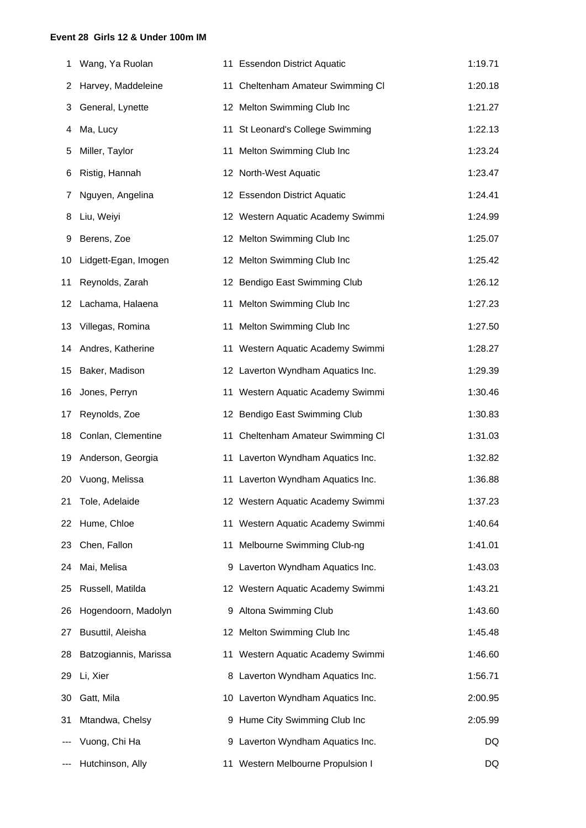#### **Event 28 Girls 12 & Under 100m IM**

| 1  | Wang, Ya Ruolan       | 11 Essendon District Aquatic      | 1:19.71 |
|----|-----------------------|-----------------------------------|---------|
| 2  | Harvey, Maddeleine    | 11 Cheltenham Amateur Swimming CI | 1:20.18 |
| 3  | General, Lynette      | 12 Melton Swimming Club Inc       | 1:21.27 |
| 4  | Ma, Lucy              | 11 St Leonard's College Swimming  | 1:22.13 |
| 5  | Miller, Taylor        | 11 Melton Swimming Club Inc       | 1:23.24 |
| 6  | Ristig, Hannah        | 12 North-West Aquatic             | 1:23.47 |
| 7  | Nguyen, Angelina      | 12 Essendon District Aquatic      | 1:24.41 |
| 8  | Liu, Weiyi            | 12 Western Aquatic Academy Swimmi | 1:24.99 |
| 9  | Berens, Zoe           | 12 Melton Swimming Club Inc       | 1:25.07 |
| 10 | Lidgett-Egan, Imogen  | 12 Melton Swimming Club Inc       | 1:25.42 |
| 11 | Reynolds, Zarah       | 12 Bendigo East Swimming Club     | 1:26.12 |
| 12 | Lachama, Halaena      | 11 Melton Swimming Club Inc       | 1:27.23 |
| 13 | Villegas, Romina      | 11 Melton Swimming Club Inc       | 1:27.50 |
| 14 | Andres, Katherine     | 11 Western Aquatic Academy Swimmi | 1:28.27 |
| 15 | Baker, Madison        | 12 Laverton Wyndham Aquatics Inc. | 1:29.39 |
| 16 | Jones, Perryn         | 11 Western Aquatic Academy Swimmi | 1:30.46 |
| 17 | Reynolds, Zoe         | 12 Bendigo East Swimming Club     | 1:30.83 |
| 18 | Conlan, Clementine    | 11 Cheltenham Amateur Swimming CI | 1:31.03 |
| 19 | Anderson, Georgia     | 11 Laverton Wyndham Aquatics Inc. | 1:32.82 |
| 20 | Vuong, Melissa        | 11 Laverton Wyndham Aquatics Inc. | 1:36.88 |
| 21 | Tole, Adelaide        | 12 Western Aquatic Academy Swimmi | 1:37.23 |
| 22 | Hume, Chloe           | 11 Western Aquatic Academy Swimmi | 1:40.64 |
| 23 | Chen, Fallon          | 11 Melbourne Swimming Club-ng     | 1:41.01 |
| 24 | Mai, Melisa           | 9 Laverton Wyndham Aquatics Inc.  | 1:43.03 |
| 25 | Russell, Matilda      | 12 Western Aquatic Academy Swimmi | 1:43.21 |
| 26 | Hogendoorn, Madolyn   | 9 Altona Swimming Club            | 1:43.60 |
| 27 | Busuttil, Aleisha     | 12 Melton Swimming Club Inc       | 1:45.48 |
| 28 | Batzogiannis, Marissa | 11 Western Aquatic Academy Swimmi | 1:46.60 |
| 29 | Li, Xier              | 8 Laverton Wyndham Aquatics Inc.  | 1:56.71 |
| 30 | Gatt, Mila            | 10 Laverton Wyndham Aquatics Inc. | 2:00.95 |
| 31 | Mtandwa, Chelsy       | 9 Hume City Swimming Club Inc     | 2:05.99 |
|    | Vuong, Chi Ha         | 9 Laverton Wyndham Aquatics Inc.  | DQ      |
|    | Hutchinson, Ally      | 11 Western Melbourne Propulsion I | DQ      |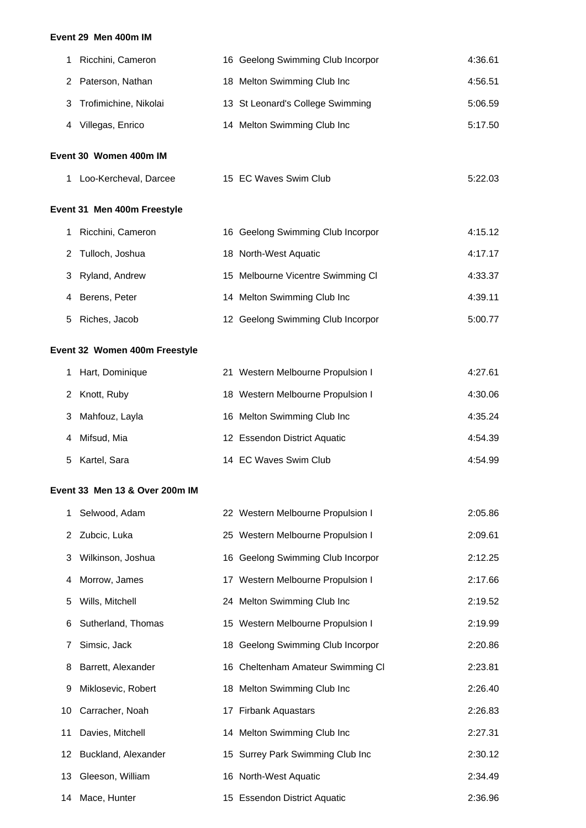#### **Event 29 Men 400m IM**

| Ricchini, Cameron       | 16 Geelong Swimming Club Incorpor | 4:36.61 |  |  |  |
|-------------------------|-----------------------------------|---------|--|--|--|
| 2 Paterson, Nathan      | 18 Melton Swimming Club Inc       | 4:56.51 |  |  |  |
| 3 Trofimichine, Nikolai | 13 St Leonard's College Swimming  | 5:06.59 |  |  |  |
| Villegas, Enrico<br>4   | 14 Melton Swimming Club Inc       | 5:17.50 |  |  |  |
| Event 30 Women 400m IM  |                                   |         |  |  |  |

1 Loo-Kercheval, Darcee 15 EC Waves Swim Club 5:22.03

# **Event 31 Men 400m Freestyle**

| Ricchini, Cameron | 16 Geelong Swimming Club Incorpor | 4:15.12 |
|-------------------|-----------------------------------|---------|
| 2 Tulloch, Joshua | 18 North-West Aquatic             | 4:17.17 |
| 3 Ryland, Andrew  | 15 Melbourne Vicentre Swimming CI | 4:33.37 |
| 4 Berens, Peter   | 14 Melton Swimming Club Inc       | 4:39.11 |
| 5 Riches, Jacob   | 12 Geelong Swimming Club Incorpor | 5:00.77 |

# **Event 32 Women 400m Freestyle**

| 1 Hart, Dominique | 21 Western Melbourne Propulsion I | 4:27.61 |
|-------------------|-----------------------------------|---------|
| 2 Knott, Ruby     | 18 Western Melbourne Propulsion I | 4:30.06 |
| 3 Mahfouz, Layla  | 16 Melton Swimming Club Inc       | 4:35.24 |
| 4 Mifsud, Mia     | 12 Essendon District Aquatic      | 4:54.39 |
| 5 Kartel, Sara    | 14 EC Waves Swim Club             | 4:54.99 |

#### **Event 33 Men 13 & Over 200m IM**

| 1. | Selwood, Adam          | 22 Western Melbourne Propulsion I | 2:05.86 |
|----|------------------------|-----------------------------------|---------|
|    | 2 Zubcic, Luka         | 25 Western Melbourne Propulsion I | 2:09.61 |
| 3  | Wilkinson, Joshua      | 16 Geelong Swimming Club Incorpor | 2:12.25 |
| 4  | Morrow, James          | 17 Western Melbourne Propulsion I | 2:17.66 |
| 5  | Wills, Mitchell        | 24 Melton Swimming Club Inc       | 2:19.52 |
|    | 6 Sutherland, Thomas   | 15 Western Melbourne Propulsion I | 2:19.99 |
| 7  | Simsic, Jack           | 18 Geelong Swimming Club Incorpor | 2:20.86 |
| 8  | Barrett, Alexander     | 16 Cheltenham Amateur Swimming CI | 2:23.81 |
| 9  | Miklosevic, Robert     | 18 Melton Swimming Club Inc       | 2:26.40 |
|    | 10 Carracher, Noah     | 17 Firbank Aquastars              | 2:26.83 |
| 11 | Davies, Mitchell       | 14 Melton Swimming Club Inc       | 2:27.31 |
|    | 12 Buckland, Alexander | 15 Surrey Park Swimming Club Inc  | 2:30.12 |
|    | 13 Gleeson, William    | 16 North-West Aquatic             | 2:34.49 |
|    | 14 Mace, Hunter        | 15 Essendon District Aquatic      | 2:36.96 |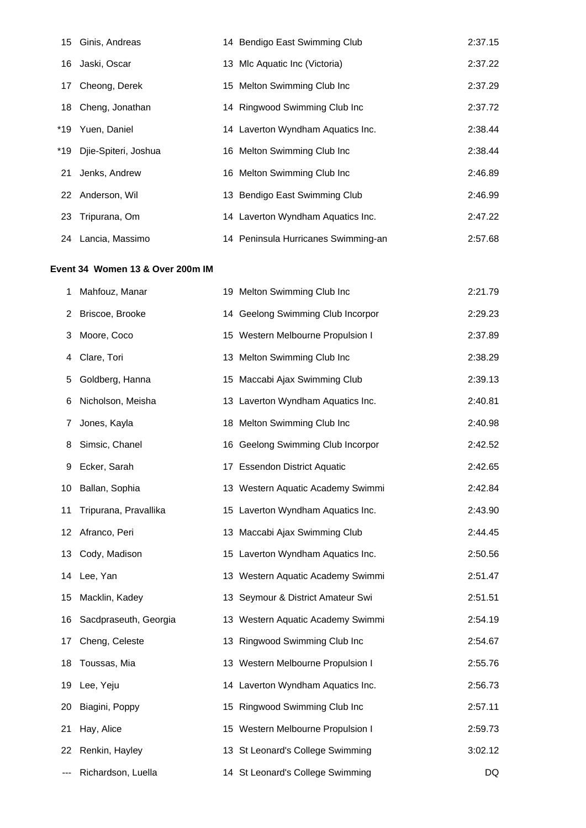| 15  | Ginis, Andreas       | 14 Bendigo East Swimming Club       | 2:37.15 |
|-----|----------------------|-------------------------------------|---------|
| 16  | Jaski, Oscar         | 13 Mlc Aquatic Inc (Victoria)       | 2:37.22 |
| 17  | Cheong, Derek        | 15 Melton Swimming Club Inc         | 2:37.29 |
|     | 18 Cheng, Jonathan   | 14 Ringwood Swimming Club Inc       | 2:37.72 |
| *19 | Yuen, Daniel         | 14 Laverton Wyndham Aquatics Inc.   | 2:38.44 |
| *19 | Djie-Spiteri, Joshua | 16 Melton Swimming Club Inc         | 2:38.44 |
| 21  | Jenks, Andrew        | 16 Melton Swimming Club Inc         | 2:46.89 |
|     | 22 Anderson, Wil     | 13 Bendigo East Swimming Club       | 2:46.99 |
|     | 23 Tripurana, Om     | 14 Laverton Wyndham Aquatics Inc.   | 2:47.22 |
| 24  | Lancia, Massimo      | 14 Peninsula Hurricanes Swimming-an | 2:57.68 |

# **Event 34 Women 13 & Over 200m IM**

| 1   | Mahfouz, Manar        | 19 Melton Swimming Club Inc       | 2:21.79 |
|-----|-----------------------|-----------------------------------|---------|
| 2   | Briscoe, Brooke       | 14 Geelong Swimming Club Incorpor | 2:29.23 |
| 3   | Moore, Coco           | 15 Western Melbourne Propulsion I | 2:37.89 |
| 4   | Clare, Tori           | 13 Melton Swimming Club Inc       | 2:38.29 |
| 5.  | Goldberg, Hanna       | 15 Maccabi Ajax Swimming Club     | 2:39.13 |
| 6   | Nicholson, Meisha     | 13 Laverton Wyndham Aquatics Inc. | 2:40.81 |
| 7   | Jones, Kayla          | 18 Melton Swimming Club Inc       | 2:40.98 |
| 8   | Simsic, Chanel        | 16 Geelong Swimming Club Incorpor | 2:42.52 |
| 9   | Ecker, Sarah          | 17 Essendon District Aquatic      | 2:42.65 |
| 10  | Ballan, Sophia        | 13 Western Aquatic Academy Swimmi | 2:42.84 |
| 11  | Tripurana, Pravallika | 15 Laverton Wyndham Aquatics Inc. | 2:43.90 |
| 12  | Afranco, Peri         | 13 Maccabi Ajax Swimming Club     | 2:44.45 |
| 13  | Cody, Madison         | 15 Laverton Wyndham Aquatics Inc. | 2:50.56 |
| 14  | Lee, Yan              | 13 Western Aquatic Academy Swimmi | 2:51.47 |
| 15  | Macklin, Kadey        | 13 Seymour & District Amateur Swi | 2:51.51 |
| 16  | Sacdpraseuth, Georgia | 13 Western Aquatic Academy Swimmi | 2:54.19 |
| 17  | Cheng, Celeste        | 13 Ringwood Swimming Club Inc     | 2:54.67 |
| 18  | Toussas, Mia          | 13 Western Melbourne Propulsion I | 2:55.76 |
| 19  | Lee, Yeju             | 14 Laverton Wyndham Aquatics Inc. | 2:56.73 |
| 20  | Biagini, Poppy        | 15 Ringwood Swimming Club Inc     | 2:57.11 |
| 21  | Hay, Alice            | 15 Western Melbourne Propulsion I | 2:59.73 |
| 22. | Renkin, Hayley        | 13 St Leonard's College Swimming  | 3:02.12 |
|     | Richardson, Luella    | 14 St Leonard's College Swimming  | DQ      |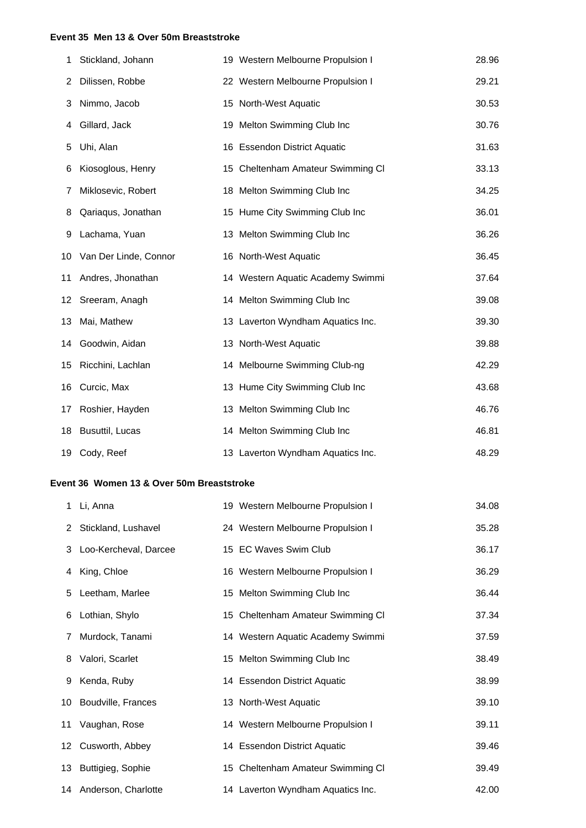#### **Event 35 Men 13 & Over 50m Breaststroke**

| 1  | Stickland, Johann     | 19 Western Melbourne Propulsion I | 28.96 |
|----|-----------------------|-----------------------------------|-------|
| 2  | Dilissen, Robbe       | 22 Western Melbourne Propulsion I | 29.21 |
| 3  | Nimmo, Jacob          | 15 North-West Aquatic             | 30.53 |
| 4  | Gillard, Jack         | 19 Melton Swimming Club Inc       | 30.76 |
| 5  | Uhi, Alan             | 16 Essendon District Aquatic      | 31.63 |
| 6  | Kiosoglous, Henry     | 15 Cheltenham Amateur Swimming CI | 33.13 |
| 7  | Miklosevic, Robert    | 18 Melton Swimming Club Inc       | 34.25 |
| 8  | Qariaqus, Jonathan    | 15 Hume City Swimming Club Inc    | 36.01 |
| 9  | Lachama, Yuan         | 13 Melton Swimming Club Inc       | 36.26 |
| 10 | Van Der Linde, Connor | 16 North-West Aquatic             | 36.45 |
| 11 | Andres, Jhonathan     | 14 Western Aquatic Academy Swimmi | 37.64 |
| 12 | Sreeram, Anagh        | 14 Melton Swimming Club Inc       | 39.08 |
| 13 | Mai, Mathew           | 13 Laverton Wyndham Aquatics Inc. | 39.30 |
| 14 | Goodwin, Aidan        | 13 North-West Aquatic             | 39.88 |
| 15 | Ricchini, Lachlan     | 14 Melbourne Swimming Club-ng     | 42.29 |
| 16 | Curcic, Max           | 13 Hume City Swimming Club Inc    | 43.68 |
| 17 | Roshier, Hayden       | 13 Melton Swimming Club Inc       | 46.76 |
| 18 | Busuttil, Lucas       | 14 Melton Swimming Club Inc       | 46.81 |
|    | 19 Cody, Reef         | 13 Laverton Wyndham Aquatics Inc. | 48.29 |

### **Event 36 Women 13 & Over 50m Breaststroke**

|   | 1 Li, Anna              | 19 Western Melbourne Propulsion I | 34.08 |
|---|-------------------------|-----------------------------------|-------|
|   | 2 Stickland, Lushavel   | 24 Western Melbourne Propulsion I | 35.28 |
|   | 3 Loo-Kercheval, Darcee | 15 EC Waves Swim Club             | 36.17 |
| 4 | King, Chloe             | 16 Western Melbourne Propulsion I | 36.29 |
| 5 | Leetham, Marlee         | 15 Melton Swimming Club Inc       | 36.44 |
| 6 | Lothian, Shylo          | 15 Cheltenham Amateur Swimming CI | 37.34 |
|   | 7 Murdock, Tanami       | 14 Western Aquatic Academy Swimmi | 37.59 |
|   | 8 Valori, Scarlet       | 15 Melton Swimming Club Inc       | 38.49 |
| 9 | Kenda, Ruby             | 14 Essendon District Aquatic      | 38.99 |
|   | 10 Boudville, Frances   | 13 North-West Aquatic             | 39.10 |
|   | 11 Vaughan, Rose        | 14 Western Melbourne Propulsion I | 39.11 |
|   | 12 Cusworth, Abbey      | 14 Essendon District Aquatic      | 39.46 |
|   | 13 Buttigieg, Sophie    | 15 Cheltenham Amateur Swimming CI | 39.49 |
|   | 14 Anderson, Charlotte  | 14 Laverton Wyndham Aquatics Inc. | 42.00 |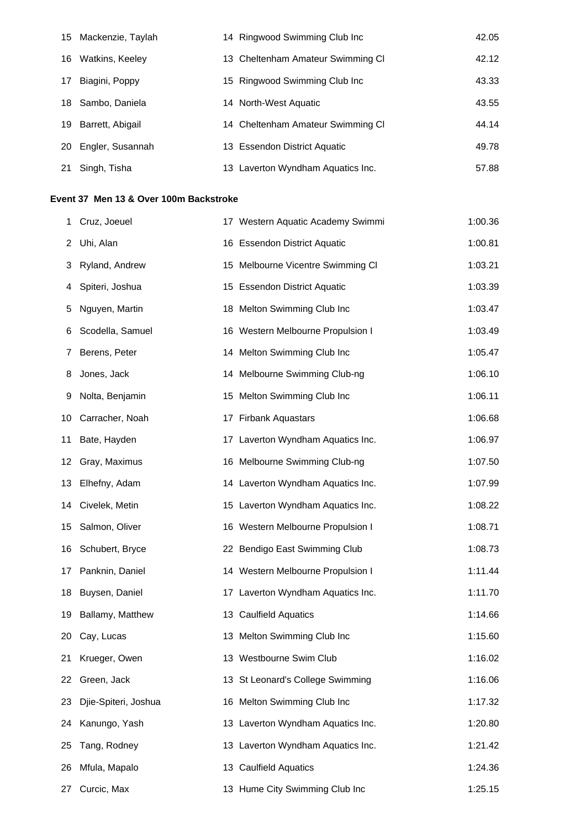|    | 15 Mackenzie, Taylah | 14 Ringwood Swimming Club Inc     | 42.05 |
|----|----------------------|-----------------------------------|-------|
| 16 | Watkins, Keeley      | 13 Cheltenham Amateur Swimming CI | 42.12 |
| 17 | Biagini, Poppy       | 15 Ringwood Swimming Club Inc     | 43.33 |
|    | 18 Sambo, Daniela    | 14 North-West Aquatic             | 43.55 |
| 19 | Barrett, Abigail     | 14 Cheltenham Amateur Swimming CI | 44.14 |
| 20 | Engler, Susannah     | 13 Essendon District Aquatic      | 49.78 |
| 21 | Singh, Tisha         | 13 Laverton Wyndham Aquatics Inc. | 57.88 |

## **Event 37 Men 13 & Over 100m Backstroke**

| 1  | Cruz, Joeuel         | 17 Western Aquatic Academy Swimmi | 1:00.36 |
|----|----------------------|-----------------------------------|---------|
| 2  | Uhi, Alan            | 16 Essendon District Aquatic      | 1:00.81 |
| 3  | Ryland, Andrew       | 15 Melbourne Vicentre Swimming CI | 1:03.21 |
| 4  | Spiteri, Joshua      | 15 Essendon District Aquatic      | 1:03.39 |
| 5  | Nguyen, Martin       | 18 Melton Swimming Club Inc       | 1:03.47 |
| 6  | Scodella, Samuel     | 16 Western Melbourne Propulsion I | 1:03.49 |
| 7  | Berens, Peter        | 14 Melton Swimming Club Inc       | 1:05.47 |
| 8  | Jones, Jack          | 14 Melbourne Swimming Club-ng     | 1:06.10 |
| 9  | Nolta, Benjamin      | 15 Melton Swimming Club Inc       | 1:06.11 |
| 10 | Carracher, Noah      | 17 Firbank Aquastars              | 1:06.68 |
| 11 | Bate, Hayden         | 17 Laverton Wyndham Aquatics Inc. | 1:06.97 |
| 12 | Gray, Maximus        | 16 Melbourne Swimming Club-ng     | 1:07.50 |
| 13 | Elhefny, Adam        | 14 Laverton Wyndham Aquatics Inc. | 1:07.99 |
| 14 | Civelek, Metin       | 15 Laverton Wyndham Aquatics Inc. | 1:08.22 |
| 15 | Salmon, Oliver       | 16 Western Melbourne Propulsion I | 1:08.71 |
| 16 | Schubert, Bryce      | 22 Bendigo East Swimming Club     | 1:08.73 |
| 17 | Panknin, Daniel      | 14 Western Melbourne Propulsion I | 1:11.44 |
| 18 | Buysen, Daniel       | 17 Laverton Wyndham Aquatics Inc. | 1:11.70 |
| 19 | Ballamy, Matthew     | 13 Caulfield Aquatics             | 1:14.66 |
| 20 | Cay, Lucas           | 13 Melton Swimming Club Inc       | 1:15.60 |
| 21 | Krueger, Owen        | 13 Westbourne Swim Club           | 1:16.02 |
| 22 | Green, Jack          | 13 St Leonard's College Swimming  | 1:16.06 |
| 23 | Djie-Spiteri, Joshua | 16 Melton Swimming Club Inc       | 1:17.32 |
| 24 | Kanungo, Yash        | 13 Laverton Wyndham Aquatics Inc. | 1:20.80 |
| 25 | Tang, Rodney         | 13 Laverton Wyndham Aquatics Inc. | 1:21.42 |
| 26 | Mfula, Mapalo        | 13 Caulfield Aquatics             | 1:24.36 |
| 27 | Curcic, Max          | 13 Hume City Swimming Club Inc    | 1:25.15 |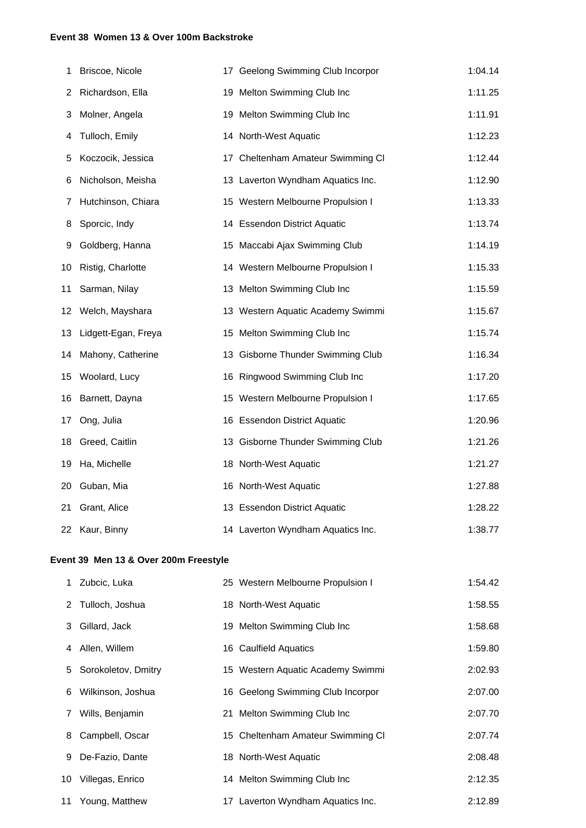#### **Event 38 Women 13 & Over 100m Backstroke**

| 1  | Briscoe, Nicole     | 17 Geelong Swimming Club Incorpor | 1:04.14 |
|----|---------------------|-----------------------------------|---------|
| 2  | Richardson, Ella    | 19 Melton Swimming Club Inc       | 1:11.25 |
| 3  | Molner, Angela      | 19 Melton Swimming Club Inc       | 1:11.91 |
| 4  | Tulloch, Emily      | 14 North-West Aquatic             | 1:12.23 |
| 5  | Koczocik, Jessica   | 17 Cheltenham Amateur Swimming Cl | 1:12.44 |
| 6  | Nicholson, Meisha   | 13 Laverton Wyndham Aquatics Inc. | 1:12.90 |
| 7  | Hutchinson, Chiara  | 15 Western Melbourne Propulsion I | 1:13.33 |
| 8  | Sporcic, Indy       | 14 Essendon District Aquatic      | 1:13.74 |
| 9  | Goldberg, Hanna     | 15 Maccabi Ajax Swimming Club     | 1:14.19 |
| 10 | Ristig, Charlotte   | 14 Western Melbourne Propulsion I | 1:15.33 |
| 11 | Sarman, Nilay       | 13 Melton Swimming Club Inc       | 1:15.59 |
| 12 | Welch, Mayshara     | 13 Western Aquatic Academy Swimmi | 1:15.67 |
| 13 | Lidgett-Egan, Freya | 15 Melton Swimming Club Inc       | 1:15.74 |
| 14 | Mahony, Catherine   | 13 Gisborne Thunder Swimming Club | 1:16.34 |
| 15 | Woolard, Lucy       | 16 Ringwood Swimming Club Inc     | 1:17.20 |
| 16 | Barnett, Dayna      | 15 Western Melbourne Propulsion I | 1:17.65 |
| 17 | Ong, Julia          | 16 Essendon District Aquatic      | 1:20.96 |
| 18 | Greed, Caitlin      | 13 Gisborne Thunder Swimming Club | 1:21.26 |
| 19 | Ha, Michelle        | 18 North-West Aquatic             | 1:21.27 |
| 20 | Guban, Mia          | 16 North-West Aquatic             | 1:27.88 |
| 21 | Grant, Alice        | 13 Essendon District Aquatic      | 1:28.22 |
|    | 22 Kaur, Binny      | 14 Laverton Wyndham Aquatics Inc. | 1:38.77 |

## **Event 39 Men 13 & Over 200m Freestyle**

|   | 1 Zubcic, Luka        | 25 Western Melbourne Propulsion I | 1:54.42 |
|---|-----------------------|-----------------------------------|---------|
|   | 2 Tulloch, Joshua     | 18 North-West Aquatic             | 1:58.55 |
|   | 3 Gillard, Jack       | 19 Melton Swimming Club Inc       | 1:58.68 |
|   | 4 Allen, Willem       | 16 Caulfield Aquatics             | 1:59.80 |
|   | 5 Sorokoletov, Dmitry | 15 Western Aquatic Academy Swimmi | 2:02.93 |
|   | 6 Wilkinson, Joshua   | 16 Geelong Swimming Club Incorpor | 2:07.00 |
|   | 7 Wills, Benjamin     | 21 Melton Swimming Club Inc       | 2:07.70 |
| 8 | Campbell, Oscar       | 15 Cheltenham Amateur Swimming CI | 2:07.74 |
| 9 | De-Fazio, Dante       | 18 North-West Aquatic             | 2:08.48 |
|   | 10 Villegas, Enrico   | 14 Melton Swimming Club Inc       | 2:12.35 |
|   | 11 Young, Matthew     | 17 Laverton Wyndham Aquatics Inc. | 2:12.89 |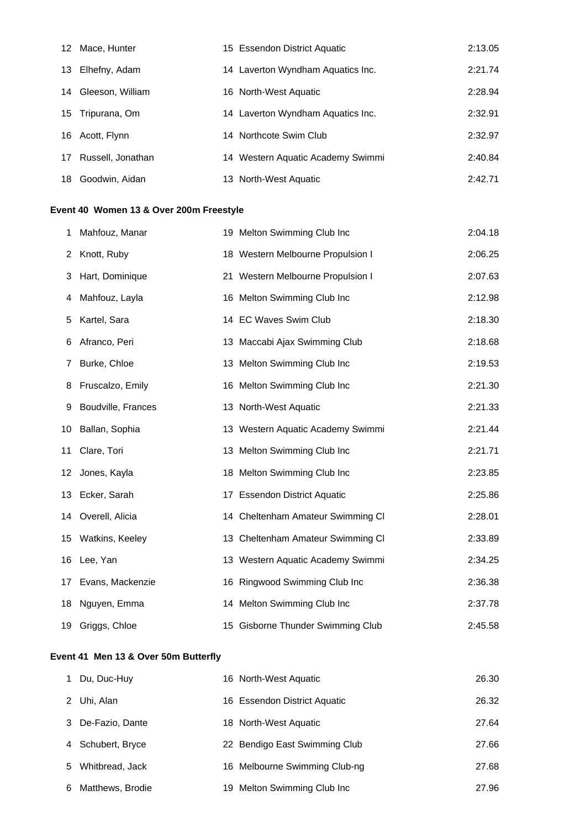| 12  | Mace, Hunter      | 15 Essendon District Aquatic      | 2:13.05 |
|-----|-------------------|-----------------------------------|---------|
| 13  | Elhefny, Adam     | 14 Laverton Wyndham Aquatics Inc. | 2:21.74 |
| 14  | Gleeson, William  | 16 North-West Aquatic             | 2:28.94 |
| 15. | Tripurana, Om     | 14 Laverton Wyndham Aquatics Inc. | 2:32.91 |
| 16  | Acott, Flynn      | 14 Northcote Swim Club            | 2:32.97 |
| 17  | Russell, Jonathan | 14 Western Aquatic Academy Swimmi | 2:40.84 |
| 18  | Goodwin, Aidan    | 13 North-West Aquatic             | 2:42.71 |

# **Event 40 Women 13 & Over 200m Freestyle**

| 1  | Mahfouz, Manar     | 19 Melton Swimming Club Inc       | 2:04.18 |
|----|--------------------|-----------------------------------|---------|
| 2  | Knott, Ruby        | 18 Western Melbourne Propulsion I | 2:06.25 |
| 3  | Hart, Dominique    | 21 Western Melbourne Propulsion I | 2:07.63 |
| 4  | Mahfouz, Layla     | 16 Melton Swimming Club Inc       | 2:12.98 |
| 5  | Kartel, Sara       | 14 EC Waves Swim Club             | 2:18.30 |
| 6  | Afranco, Peri      | 13 Maccabi Ajax Swimming Club     | 2:18.68 |
| 7  | Burke, Chloe       | 13 Melton Swimming Club Inc       | 2:19.53 |
| 8  | Fruscalzo, Emily   | 16 Melton Swimming Club Inc       | 2:21.30 |
| 9  | Boudville, Frances | 13 North-West Aquatic             | 2:21.33 |
| 10 | Ballan, Sophia     | 13 Western Aquatic Academy Swimmi | 2:21.44 |
| 11 | Clare, Tori        | 13 Melton Swimming Club Inc       | 2:21.71 |
| 12 | Jones, Kayla       | 18 Melton Swimming Club Inc       | 2:23.85 |
|    | 13 Ecker, Sarah    | 17 Essendon District Aquatic      | 2:25.86 |
|    | 14 Overell, Alicia | 14 Cheltenham Amateur Swimming Cl | 2:28.01 |
|    | 15 Watkins, Keeley | 13 Cheltenham Amateur Swimming CI | 2:33.89 |
|    | 16 Lee, Yan        | 13 Western Aquatic Academy Swimmi | 2:34.25 |
| 17 | Evans, Mackenzie   | 16 Ringwood Swimming Club Inc     | 2:36.38 |
| 18 | Nguyen, Emma       | 14 Melton Swimming Club Inc       | 2:37.78 |
|    | 19 Griggs, Chloe   | 15 Gisborne Thunder Swimming Club | 2:45.58 |

# **Event 41 Men 13 & Over 50m Butterfly**

|   | Du, Duc-Huy       | 16 North-West Aquatic         | 26.30 |
|---|-------------------|-------------------------------|-------|
| 2 | Uhi, Alan         | 16 Essendon District Aquatic  | 26.32 |
| 3 | De-Fazio, Dante   | 18 North-West Aquatic         | 27.64 |
|   | 4 Schubert, Bryce | 22 Bendigo East Swimming Club | 27.66 |
|   | 5 Whitbread, Jack | 16 Melbourne Swimming Club-ng | 27.68 |
| 6 | Matthews, Brodie  | 19 Melton Swimming Club Inc   | 27.96 |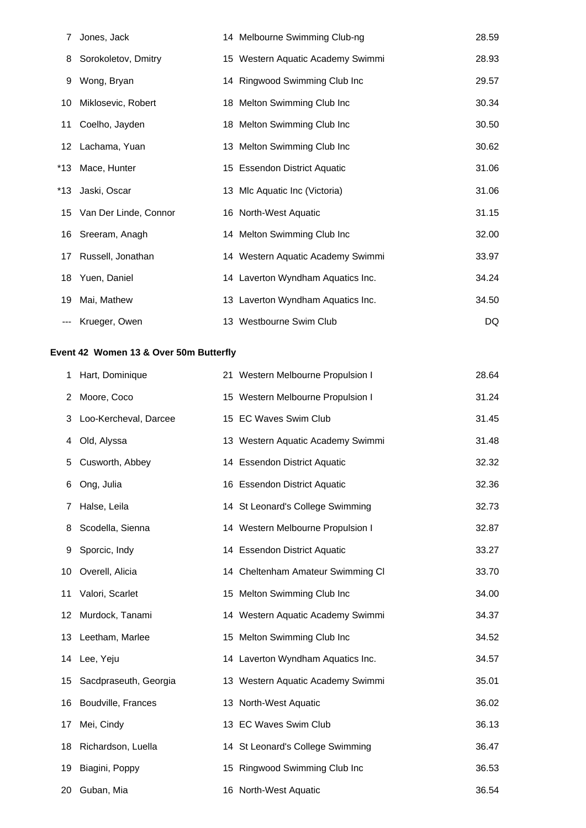| 7  | Jones, Jack              | 14 Melbourne Swimming Club-ng     | 28.59 |
|----|--------------------------|-----------------------------------|-------|
| 8  | Sorokoletov, Dmitry      | 15 Western Aquatic Academy Swimmi | 28.93 |
| 9  | Wong, Bryan              | 14 Ringwood Swimming Club Inc     | 29.57 |
| 10 | Miklosevic, Robert       | 18 Melton Swimming Club Inc       | 30.34 |
| 11 | Coelho, Jayden           | 18 Melton Swimming Club Inc       | 30.50 |
|    | 12 Lachama, Yuan         | 13 Melton Swimming Club Inc       | 30.62 |
|    | *13 Mace, Hunter         | 15 Essendon District Aquatic      | 31.06 |
|    | *13 Jaski, Oscar         | 13 Mlc Aquatic Inc (Victoria)     | 31.06 |
|    | 15 Van Der Linde, Connor | 16 North-West Aquatic             | 31.15 |
|    | 16 Sreeram, Anagh        | 14 Melton Swimming Club Inc       | 32.00 |
| 17 | Russell, Jonathan        | 14 Western Aquatic Academy Swimmi | 33.97 |
|    | 18 Yuen, Daniel          | 14 Laverton Wyndham Aquatics Inc. | 34.24 |
| 19 | Mai, Mathew              | 13 Laverton Wyndham Aquatics Inc. | 34.50 |
|    | Krueger, Owen            | 13 Westbourne Swim Club           | DQ    |

# **Event 42 Women 13 & Over 50m Butterfly**

| 1  | Hart, Dominique       | 21 Western Melbourne Propulsion I | 28.64 |
|----|-----------------------|-----------------------------------|-------|
| 2  | Moore, Coco           | 15 Western Melbourne Propulsion I | 31.24 |
| 3  | Loo-Kercheval, Darcee | 15 EC Waves Swim Club             | 31.45 |
| 4  | Old, Alyssa           | 13 Western Aquatic Academy Swimmi | 31.48 |
| 5  | Cusworth, Abbey       | 14 Essendon District Aquatic      | 32.32 |
| 6  | Ong, Julia            | 16 Essendon District Aquatic      | 32.36 |
| 7  | Halse, Leila          | 14 St Leonard's College Swimming  | 32.73 |
| 8  | Scodella, Sienna      | 14 Western Melbourne Propulsion I | 32.87 |
| 9  | Sporcic, Indy         | 14 Essendon District Aquatic      | 33.27 |
| 10 | Overell, Alicia       | 14 Cheltenham Amateur Swimming CI | 33.70 |
| 11 | Valori, Scarlet       | 15 Melton Swimming Club Inc       | 34.00 |
| 12 | Murdock, Tanami       | 14 Western Aquatic Academy Swimmi | 34.37 |
|    | 13 Leetham, Marlee    | 15 Melton Swimming Club Inc       | 34.52 |
| 14 | Lee, Yeju             | 14 Laverton Wyndham Aquatics Inc. | 34.57 |
| 15 | Sacdpraseuth, Georgia | 13 Western Aquatic Academy Swimmi | 35.01 |
| 16 | Boudville, Frances    | 13 North-West Aquatic             | 36.02 |
| 17 | Mei, Cindy            | 13 EC Waves Swim Club             | 36.13 |
| 18 | Richardson, Luella    | 14 St Leonard's College Swimming  | 36.47 |
| 19 | Biagini, Poppy        | 15 Ringwood Swimming Club Inc     | 36.53 |
| 20 | Guban, Mia            | 16 North-West Aquatic             | 36.54 |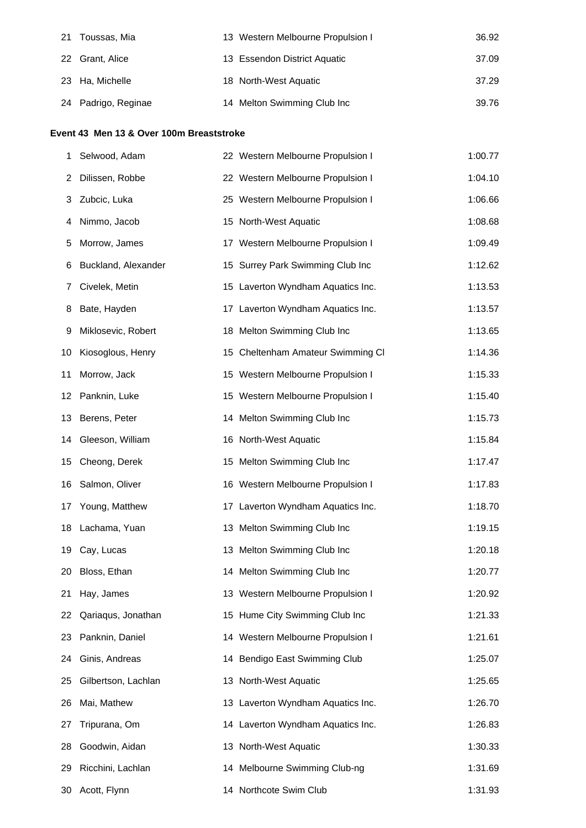| -21 | Toussas, Mia        | 13 Western Melbourne Propulsion I | 36.92 |
|-----|---------------------|-----------------------------------|-------|
|     | 22 Grant, Alice     | 13 Essendon District Aquatic      | 37.09 |
|     | 23 Ha, Michelle     | 18 North-West Aquatic             | 37.29 |
|     | 24 Padrigo, Reginae | 14 Melton Swimming Club Inc       | 39.76 |

#### **Event 43 Men 13 & Over 100m Breaststroke**

| 1  | Selwood, Adam       | 22 Western Melbourne Propulsion I | 1:00.77 |
|----|---------------------|-----------------------------------|---------|
| 2  | Dilissen, Robbe     | 22 Western Melbourne Propulsion I | 1:04.10 |
| 3  | Zubcic, Luka        | 25 Western Melbourne Propulsion I | 1:06.66 |
| 4  | Nimmo, Jacob        | 15 North-West Aquatic             | 1:08.68 |
| 5  | Morrow, James       | 17 Western Melbourne Propulsion I | 1:09.49 |
| 6  | Buckland, Alexander | 15 Surrey Park Swimming Club Inc  | 1:12.62 |
| 7  | Civelek, Metin      | 15 Laverton Wyndham Aquatics Inc. | 1:13.53 |
| 8  | Bate, Hayden        | 17 Laverton Wyndham Aquatics Inc. | 1:13.57 |
| 9  | Miklosevic, Robert  | 18 Melton Swimming Club Inc       | 1:13.65 |
| 10 | Kiosoglous, Henry   | 15 Cheltenham Amateur Swimming CI | 1:14.36 |
| 11 | Morrow, Jack        | 15 Western Melbourne Propulsion I | 1:15.33 |
| 12 | Panknin, Luke       | 15 Western Melbourne Propulsion I | 1:15.40 |
| 13 | Berens, Peter       | 14 Melton Swimming Club Inc       | 1:15.73 |
| 14 | Gleeson, William    | 16 North-West Aquatic             | 1:15.84 |
| 15 | Cheong, Derek       | 15 Melton Swimming Club Inc       | 1:17.47 |
| 16 | Salmon, Oliver      | 16 Western Melbourne Propulsion I | 1:17.83 |
| 17 | Young, Matthew      | 17 Laverton Wyndham Aquatics Inc. | 1:18.70 |
| 18 | Lachama, Yuan       | 13 Melton Swimming Club Inc       | 1:19.15 |
| 19 | Cay, Lucas          | 13 Melton Swimming Club Inc       | 1:20.18 |
| 20 | Bloss, Ethan        | 14 Melton Swimming Club Inc       | 1:20.77 |
| 21 | Hay, James          | 13 Western Melbourne Propulsion I | 1:20.92 |
| 22 | Qariaqus, Jonathan  | 15 Hume City Swimming Club Inc    | 1:21.33 |
| 23 | Panknin, Daniel     | 14 Western Melbourne Propulsion I | 1:21.61 |
| 24 | Ginis, Andreas      | 14 Bendigo East Swimming Club     | 1:25.07 |
| 25 | Gilbertson, Lachlan | 13 North-West Aquatic             | 1:25.65 |
| 26 | Mai, Mathew         | 13 Laverton Wyndham Aquatics Inc. | 1:26.70 |
| 27 | Tripurana, Om       | 14 Laverton Wyndham Aquatics Inc. | 1:26.83 |
| 28 | Goodwin, Aidan      | 13 North-West Aquatic             | 1:30.33 |
| 29 | Ricchini, Lachlan   | 14 Melbourne Swimming Club-ng     | 1:31.69 |
| 30 | Acott, Flynn        | 14 Northcote Swim Club            | 1:31.93 |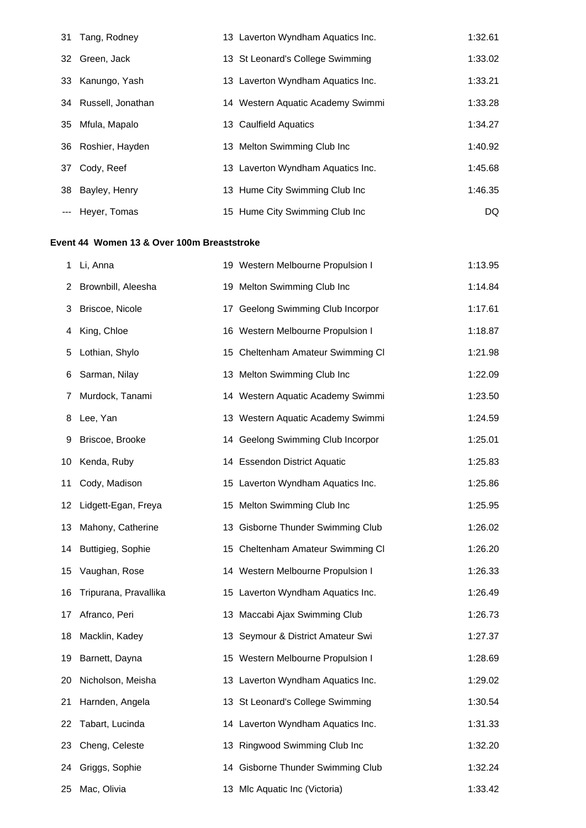| 31 Tang, Rodney      | 13 Laverton Wyndham Aquatics Inc. | 1:32.61 |
|----------------------|-----------------------------------|---------|
| 32 Green, Jack       | 13 St Leonard's College Swimming  | 1:33.02 |
| 33 Kanungo, Yash     | 13 Laverton Wyndham Aquatics Inc. | 1:33.21 |
| 34 Russell, Jonathan | 14 Western Aquatic Academy Swimmi | 1:33.28 |
| 35 Mfula, Mapalo     | 13 Caulfield Aquatics             | 1:34.27 |
| 36 Roshier, Hayden   | 13 Melton Swimming Club Inc       | 1:40.92 |
| 37 Cody, Reef        | 13 Laverton Wyndham Aquatics Inc. | 1:45.68 |
| 38 Bayley, Henry     | 13 Hume City Swimming Club Inc    | 1:46.35 |
| --- Heyer, Tomas     | 15 Hume City Swimming Club Inc    | DQ      |

# **Event 44 Women 13 & Over 100m Breaststroke**

| 1  | Li, Anna               | 19 Western Melbourne Propulsion I | 1:13.95 |
|----|------------------------|-----------------------------------|---------|
| 2  | Brownbill, Aleesha     | 19 Melton Swimming Club Inc       | 1:14.84 |
| 3  | Briscoe, Nicole        | 17 Geelong Swimming Club Incorpor | 1:17.61 |
| 4  | King, Chloe            | 16 Western Melbourne Propulsion I | 1:18.87 |
| 5  | Lothian, Shylo         | 15 Cheltenham Amateur Swimming CI | 1:21.98 |
| 6  | Sarman, Nilay          | 13 Melton Swimming Club Inc       | 1:22.09 |
| 7  | Murdock, Tanami        | 14 Western Aquatic Academy Swimmi | 1:23.50 |
| 8  | Lee, Yan               | 13 Western Aquatic Academy Swimmi | 1:24.59 |
| 9  | Briscoe, Brooke        | 14 Geelong Swimming Club Incorpor | 1:25.01 |
| 10 | Kenda, Ruby            | 14 Essendon District Aquatic      | 1:25.83 |
| 11 | Cody, Madison          | 15 Laverton Wyndham Aquatics Inc. | 1:25.86 |
|    | 12 Lidgett-Egan, Freya | 15 Melton Swimming Club Inc       | 1:25.95 |
| 13 | Mahony, Catherine      | 13 Gisborne Thunder Swimming Club | 1:26.02 |
|    | 14 Buttigieg, Sophie   | 15 Cheltenham Amateur Swimming CI | 1:26.20 |
| 15 | Vaughan, Rose          | 14 Western Melbourne Propulsion I | 1:26.33 |
| 16 | Tripurana, Pravallika  | 15 Laverton Wyndham Aquatics Inc. | 1:26.49 |
| 17 | Afranco, Peri          | 13 Maccabi Ajax Swimming Club     | 1:26.73 |
| 18 | Macklin, Kadey         | 13 Seymour & District Amateur Swi | 1:27.37 |
| 19 | Barnett, Dayna         | 15 Western Melbourne Propulsion I | 1:28.69 |
| 20 | Nicholson, Meisha      | 13 Laverton Wyndham Aquatics Inc. | 1:29.02 |
|    | 21 Harnden, Angela     | 13 St Leonard's College Swimming  | 1:30.54 |
| 22 | Tabart, Lucinda        | 14 Laverton Wyndham Aquatics Inc. | 1:31.33 |
| 23 | Cheng, Celeste         | 13 Ringwood Swimming Club Inc     | 1:32.20 |
| 24 | Griggs, Sophie         | 14 Gisborne Thunder Swimming Club | 1:32.24 |
| 25 | Mac, Olivia            | 13 Mlc Aquatic Inc (Victoria)     | 1:33.42 |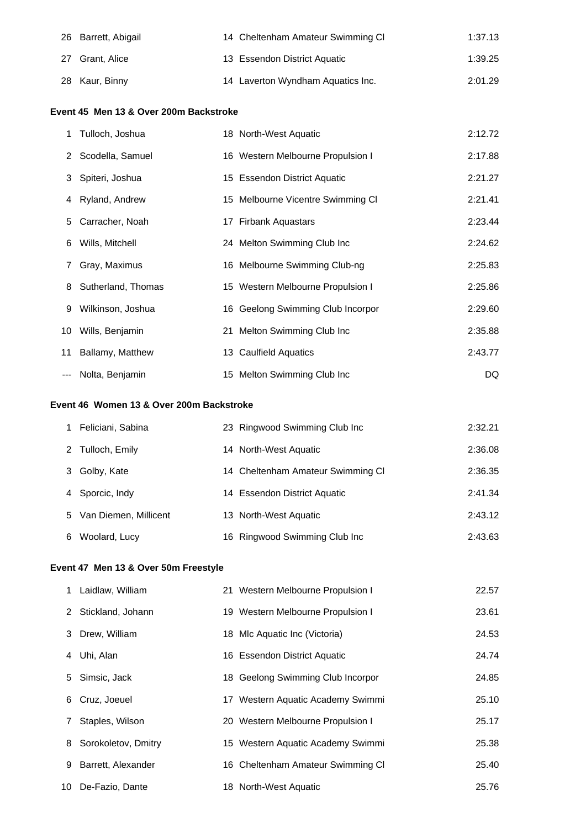| 26 Barrett, Abigail | 14 Cheltenham Amateur Swimming CI | 1:37.13 |
|---------------------|-----------------------------------|---------|
| 27 Grant, Alice     | 13 Essendon District Aquatic      | 1:39.25 |
| 28 Kaur, Binny      | 14 Laverton Wyndham Aquatics Inc. | 2:01.29 |

## **Event 45 Men 13 & Over 200m Backstroke**

|   | 1 Tulloch, Joshua    | 18 North-West Aquatic             | 2:12.72 |
|---|----------------------|-----------------------------------|---------|
|   | 2 Scodella, Samuel   | 16 Western Melbourne Propulsion I | 2:17.88 |
|   | 3 Spiteri, Joshua    | 15 Essendon District Aquatic      | 2:21.27 |
|   | 4 Ryland, Andrew     | 15 Melbourne Vicentre Swimming CI | 2:21.41 |
|   | 5 Carracher, Noah    | 17 Firbank Aquastars              | 2:23.44 |
| 6 | Wills, Mitchell      | 24 Melton Swimming Club Inc       | 2:24.62 |
| 7 | Gray, Maximus        | 16 Melbourne Swimming Club-ng     | 2:25.83 |
|   | 8 Sutherland, Thomas | 15 Western Melbourne Propulsion I | 2:25.86 |
| 9 | Wilkinson, Joshua    | 16 Geelong Swimming Club Incorpor | 2:29.60 |
|   | 10 Wills, Benjamin   | 21 Melton Swimming Club Inc       | 2:35.88 |
|   | 11 Ballamy, Matthew  | 13 Caulfield Aquatics             | 2:43.77 |
|   | --- Nolta, Benjamin  | 15 Melton Swimming Club Inc       | DQ      |

# **Event 46 Women 13 & Over 200m Backstroke**

|    | Feliciani, Sabina     | 23 Ringwood Swimming Club Inc     | 2:32.21 |
|----|-----------------------|-----------------------------------|---------|
|    | 2 Tulloch, Emily      | 14 North-West Aquatic             | 2:36.08 |
| 3  | Golby, Kate           | 14 Cheltenham Amateur Swimming CI | 2:36.35 |
|    | 4 Sporcic, Indy       | 14 Essendon District Aquatic      | 2:41.34 |
| 5. | Van Diemen, Millicent | 13 North-West Aquatic             | 2:43.12 |
| 6  | Woolard, Lucy         | 16 Ringwood Swimming Club Inc     | 2:43.63 |

## **Event 47 Men 13 & Over 50m Freestyle**

|   | 1 Laidlaw, William  | 21 Western Melbourne Propulsion I | 22.57 |
|---|---------------------|-----------------------------------|-------|
|   | 2 Stickland, Johann | 19 Western Melbourne Propulsion I | 23.61 |
|   | 3 Drew, William     | 18 Mlc Aquatic Inc (Victoria)     | 24.53 |
| 4 | Uhi, Alan           | 16 Essendon District Aquatic      | 24.74 |
|   | 5 Simsic, Jack      | 18 Geelong Swimming Club Incorpor | 24.85 |
| 6 | Cruz, Joeuel        | 17 Western Aquatic Academy Swimmi | 25.10 |
| 7 | Staples, Wilson     | 20 Western Melbourne Propulsion I | 25.17 |
| 8 | Sorokoletov, Dmitry | 15 Western Aquatic Academy Swimmi | 25.38 |
| 9 | Barrett, Alexander  | 16 Cheltenham Amateur Swimming CI | 25.40 |
|   | 10 De-Fazio, Dante  | 18 North-West Aquatic             | 25.76 |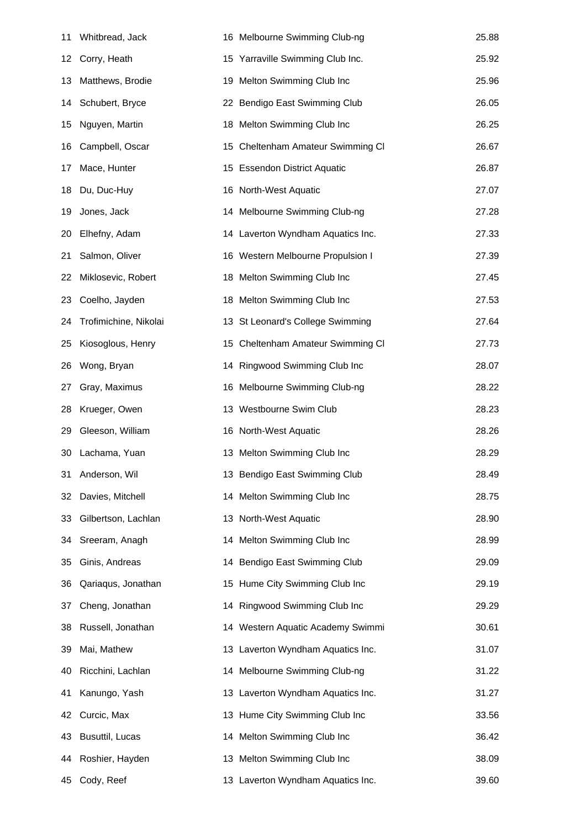| 11 | Whitbread, Jack       | 16 Melbourne Swimming Club-ng     | 25.88 |
|----|-----------------------|-----------------------------------|-------|
| 12 | Corry, Heath          | 15 Yarraville Swimming Club Inc.  | 25.92 |
| 13 | Matthews, Brodie      | 19 Melton Swimming Club Inc       | 25.96 |
| 14 | Schubert, Bryce       | 22 Bendigo East Swimming Club     | 26.05 |
| 15 | Nguyen, Martin        | 18 Melton Swimming Club Inc       | 26.25 |
| 16 | Campbell, Oscar       | 15 Cheltenham Amateur Swimming CI | 26.67 |
| 17 | Mace, Hunter          | 15 Essendon District Aquatic      | 26.87 |
| 18 | Du, Duc-Huy           | 16 North-West Aquatic             | 27.07 |
| 19 | Jones, Jack           | 14 Melbourne Swimming Club-ng     | 27.28 |
| 20 | Elhefny, Adam         | 14 Laverton Wyndham Aquatics Inc. | 27.33 |
| 21 | Salmon, Oliver        | 16 Western Melbourne Propulsion I | 27.39 |
| 22 | Miklosevic, Robert    | 18 Melton Swimming Club Inc       | 27.45 |
| 23 | Coelho, Jayden        | 18 Melton Swimming Club Inc       | 27.53 |
| 24 | Trofimichine, Nikolai | 13 St Leonard's College Swimming  | 27.64 |
| 25 | Kiosoglous, Henry     | 15 Cheltenham Amateur Swimming CI | 27.73 |
| 26 | Wong, Bryan           | 14 Ringwood Swimming Club Inc     | 28.07 |
| 27 | Gray, Maximus         | 16 Melbourne Swimming Club-ng     | 28.22 |
| 28 | Krueger, Owen         | 13 Westbourne Swim Club           | 28.23 |
| 29 | Gleeson, William      | 16 North-West Aquatic             | 28.26 |
| 30 | Lachama, Yuan         | 13 Melton Swimming Club Inc       | 28.29 |
| 31 | Anderson, Wil         | 13 Bendigo East Swimming Club     | 28.49 |
| 32 | Davies, Mitchell      | 14 Melton Swimming Club Inc       | 28.75 |
| 33 | Gilbertson, Lachlan   | 13 North-West Aquatic             | 28.90 |
| 34 | Sreeram, Anagh        | 14 Melton Swimming Club Inc       | 28.99 |
| 35 | Ginis, Andreas        | 14 Bendigo East Swimming Club     | 29.09 |
| 36 | Qariaqus, Jonathan    | 15 Hume City Swimming Club Inc    | 29.19 |
| 37 | Cheng, Jonathan       | 14 Ringwood Swimming Club Inc     | 29.29 |
| 38 | Russell, Jonathan     | 14 Western Aquatic Academy Swimmi | 30.61 |
| 39 | Mai, Mathew           | 13 Laverton Wyndham Aquatics Inc. | 31.07 |
| 40 | Ricchini, Lachlan     | 14 Melbourne Swimming Club-ng     | 31.22 |
| 41 | Kanungo, Yash         | 13 Laverton Wyndham Aquatics Inc. | 31.27 |
| 42 | Curcic, Max           | 13 Hume City Swimming Club Inc    | 33.56 |
| 43 | Busuttil, Lucas       | 14 Melton Swimming Club Inc       | 36.42 |
| 44 | Roshier, Hayden       | 13 Melton Swimming Club Inc       | 38.09 |
| 45 | Cody, Reef            | 13 Laverton Wyndham Aquatics Inc. | 39.60 |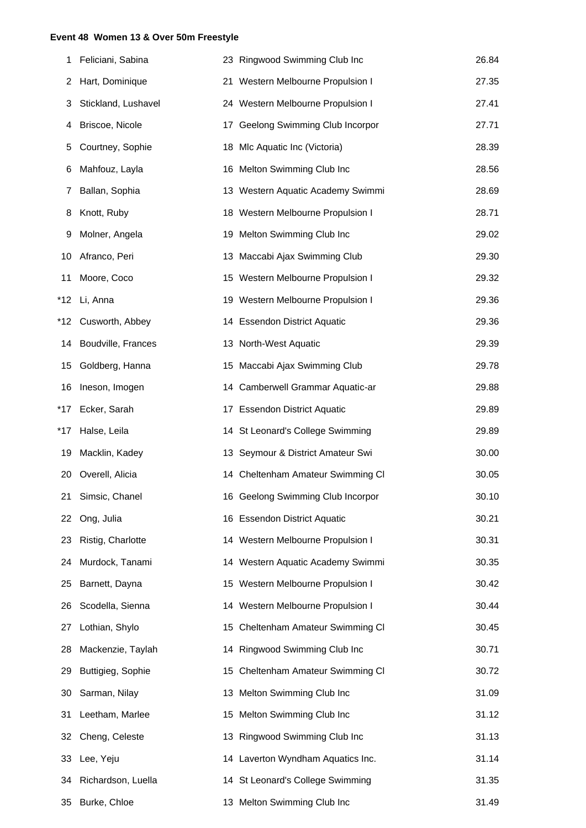#### **Event 48 Women 13 & Over 50m Freestyle**

| 1   | Feliciani, Sabina   | 23 Ringwood Swimming Club Inc     | 26.84 |
|-----|---------------------|-----------------------------------|-------|
| 2   | Hart, Dominique     | 21 Western Melbourne Propulsion I | 27.35 |
| 3   | Stickland, Lushavel | 24 Western Melbourne Propulsion I | 27.41 |
| 4   | Briscoe, Nicole     | 17 Geelong Swimming Club Incorpor | 27.71 |
| 5   | Courtney, Sophie    | 18 Mlc Aquatic Inc (Victoria)     | 28.39 |
| 6   | Mahfouz, Layla      | 16 Melton Swimming Club Inc       | 28.56 |
| 7   | Ballan, Sophia      | 13 Western Aquatic Academy Swimmi | 28.69 |
| 8   | Knott, Ruby         | 18 Western Melbourne Propulsion I | 28.71 |
| 9   | Molner, Angela      | 19 Melton Swimming Club Inc       | 29.02 |
| 10  | Afranco, Peri       | 13 Maccabi Ajax Swimming Club     | 29.30 |
| 11  | Moore, Coco         | 15 Western Melbourne Propulsion I | 29.32 |
| *12 | Li, Anna            | 19 Western Melbourne Propulsion I | 29.36 |
| *12 | Cusworth, Abbey     | 14 Essendon District Aquatic      | 29.36 |
| 14  | Boudville, Frances  | 13 North-West Aquatic             | 29.39 |
| 15  | Goldberg, Hanna     | 15 Maccabi Ajax Swimming Club     | 29.78 |
| 16  | Ineson, Imogen      | 14 Camberwell Grammar Aquatic-ar  | 29.88 |
| *17 | Ecker, Sarah        | 17 Essendon District Aquatic      | 29.89 |
| *17 | Halse, Leila        | 14 St Leonard's College Swimming  | 29.89 |
| 19  | Macklin, Kadey      | 13 Seymour & District Amateur Swi | 30.00 |
|     | 20 Overell, Alicia  | 14 Cheltenham Amateur Swimming CI | 30.05 |
|     | 21 Simsic, Chanel   | 16 Geelong Swimming Club Incorpor | 30.10 |
| 22  | Ong, Julia          | 16 Essendon District Aquatic      | 30.21 |
| 23  | Ristig, Charlotte   | 14 Western Melbourne Propulsion I | 30.31 |
| 24  | Murdock, Tanami     | 14 Western Aquatic Academy Swimmi | 30.35 |
| 25  | Barnett, Dayna      | 15 Western Melbourne Propulsion I | 30.42 |
| 26  | Scodella, Sienna    | 14 Western Melbourne Propulsion I | 30.44 |
| 27  | Lothian, Shylo      | 15 Cheltenham Amateur Swimming CI | 30.45 |
| 28  | Mackenzie, Taylah   | 14 Ringwood Swimming Club Inc     | 30.71 |
| 29  | Buttigieg, Sophie   | 15 Cheltenham Amateur Swimming CI | 30.72 |
| 30  | Sarman, Nilay       | 13 Melton Swimming Club Inc       | 31.09 |
| 31  | Leetham, Marlee     | 15 Melton Swimming Club Inc       | 31.12 |
| 32  | Cheng, Celeste      | 13 Ringwood Swimming Club Inc     | 31.13 |
| 33  | Lee, Yeju           | 14 Laverton Wyndham Aquatics Inc. | 31.14 |
| 34  | Richardson, Luella  | 14 St Leonard's College Swimming  | 31.35 |
| 35  | Burke, Chloe        | 13 Melton Swimming Club Inc       | 31.49 |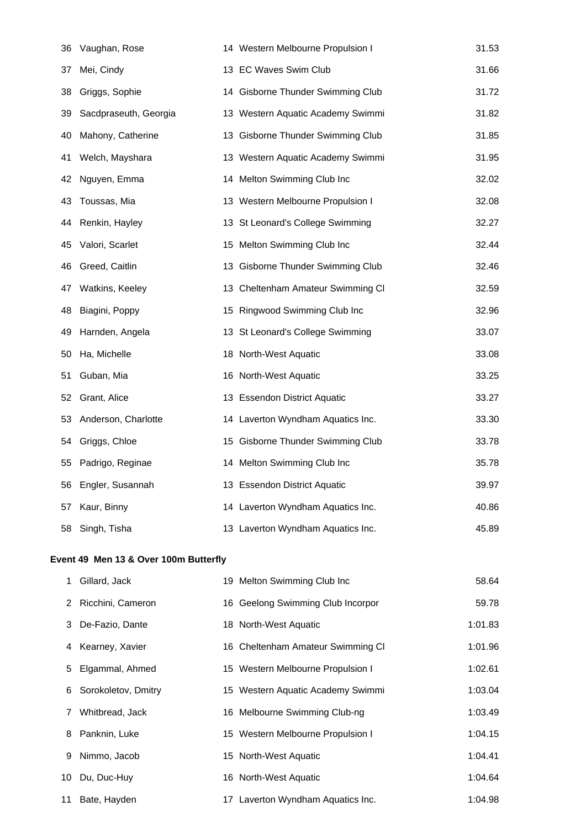| 36 | Vaughan, Rose         | 14 Western Melbourne Propulsion I | 31.53 |
|----|-----------------------|-----------------------------------|-------|
| 37 | Mei, Cindy            | 13 EC Waves Swim Club             | 31.66 |
| 38 | Griggs, Sophie        | 14 Gisborne Thunder Swimming Club | 31.72 |
| 39 | Sacdpraseuth, Georgia | 13 Western Aquatic Academy Swimmi | 31.82 |
| 40 | Mahony, Catherine     | 13 Gisborne Thunder Swimming Club | 31.85 |
| 41 | Welch, Mayshara       | 13 Western Aquatic Academy Swimmi | 31.95 |
| 42 | Nguyen, Emma          | 14 Melton Swimming Club Inc       | 32.02 |
| 43 | Toussas, Mia          | 13 Western Melbourne Propulsion I | 32.08 |
| 44 | Renkin, Hayley        | 13 St Leonard's College Swimming  | 32.27 |
| 45 | Valori, Scarlet       | 15 Melton Swimming Club Inc       | 32.44 |
| 46 | Greed, Caitlin        | 13 Gisborne Thunder Swimming Club | 32.46 |
| 47 | Watkins, Keeley       | 13 Cheltenham Amateur Swimming CI | 32.59 |
| 48 | Biagini, Poppy        | 15 Ringwood Swimming Club Inc     | 32.96 |
| 49 | Harnden, Angela       | 13 St Leonard's College Swimming  | 33.07 |
| 50 | Ha, Michelle          | 18 North-West Aquatic             | 33.08 |
| 51 | Guban, Mia            | 16 North-West Aquatic             | 33.25 |
| 52 | Grant, Alice          | 13 Essendon District Aquatic      | 33.27 |
| 53 | Anderson, Charlotte   | 14 Laverton Wyndham Aquatics Inc. | 33.30 |
| 54 | Griggs, Chloe         | 15 Gisborne Thunder Swimming Club | 33.78 |
| 55 | Padrigo, Reginae      | 14 Melton Swimming Club Inc       | 35.78 |
| 56 | Engler, Susannah      | 13 Essendon District Aquatic      | 39.97 |
| 57 | Kaur, Binny           | 14 Laverton Wyndham Aquatics Inc. | 40.86 |
| 58 | Singh, Tisha          | 13 Laverton Wyndham Aquatics Inc. | 45.89 |

## **Event 49 Men 13 & Over 100m Butterfly**

|    | Gillard, Jack         | 19 Melton Swimming Club Inc       | 58.64   |
|----|-----------------------|-----------------------------------|---------|
|    | 2 Ricchini, Cameron   | 16 Geelong Swimming Club Incorpor | 59.78   |
|    | 3 De-Fazio, Dante     | 18 North-West Aquatic             | 1:01.83 |
|    | 4 Kearney, Xavier     | 16 Cheltenham Amateur Swimming Cl | 1:01.96 |
|    | 5 Elgammal, Ahmed     | 15 Western Melbourne Propulsion I | 1:02.61 |
|    | 6 Sorokoletov, Dmitry | 15 Western Aquatic Academy Swimmi | 1:03.04 |
| 7  | Whitbread, Jack       | 16 Melbourne Swimming Club-ng     | 1:03.49 |
|    | 8 Panknin, Luke       | 15 Western Melbourne Propulsion I | 1:04.15 |
| 9  | Nimmo, Jacob          | 15 North-West Aquatic             | 1:04.41 |
| 10 | Du, Duc-Huy           | 16 North-West Aquatic             | 1:04.64 |
|    | 11 Bate, Hayden       | 17 Laverton Wyndham Aquatics Inc. | 1:04.98 |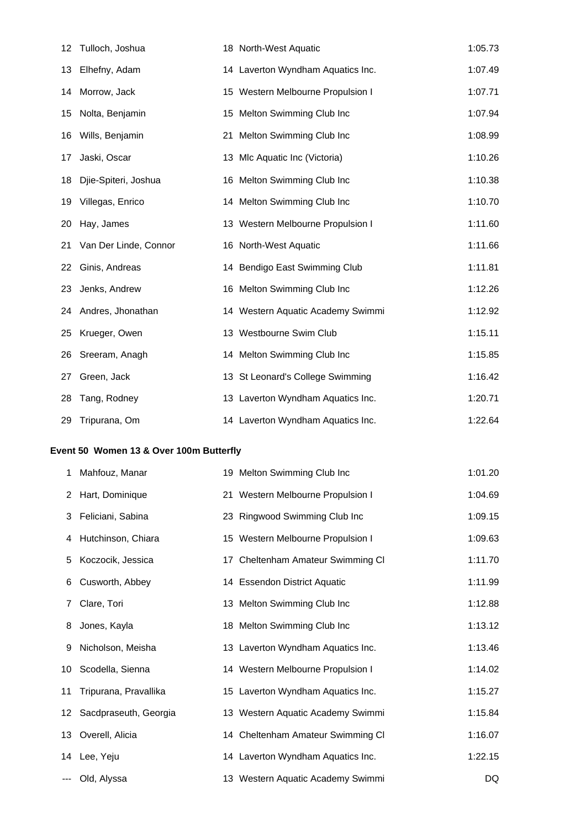| 12                                     | Tulloch, Joshua       |  | 18 North-West Aquatic             | 1:05.73 |  |  |  |
|----------------------------------------|-----------------------|--|-----------------------------------|---------|--|--|--|
| 13                                     | Elhefny, Adam         |  | 14 Laverton Wyndham Aquatics Inc. | 1:07.49 |  |  |  |
| 14                                     | Morrow, Jack          |  | 15 Western Melbourne Propulsion I | 1:07.71 |  |  |  |
| 15                                     | Nolta, Benjamin       |  | 15 Melton Swimming Club Inc       | 1:07.94 |  |  |  |
| 16                                     | Wills, Benjamin       |  | 21 Melton Swimming Club Inc       | 1:08.99 |  |  |  |
| 17                                     | Jaski, Oscar          |  | 13 Mlc Aquatic Inc (Victoria)     | 1:10.26 |  |  |  |
| 18                                     | Djie-Spiteri, Joshua  |  | 16 Melton Swimming Club Inc       | 1:10.38 |  |  |  |
| 19                                     | Villegas, Enrico      |  | 14 Melton Swimming Club Inc       | 1:10.70 |  |  |  |
| 20                                     | Hay, James            |  | 13 Western Melbourne Propulsion I | 1:11.60 |  |  |  |
| 21                                     | Van Der Linde, Connor |  | 16 North-West Aquatic             | 1:11.66 |  |  |  |
| 22                                     | Ginis, Andreas        |  | 14 Bendigo East Swimming Club     | 1:11.81 |  |  |  |
| 23                                     | Jenks, Andrew         |  | 16 Melton Swimming Club Inc       | 1:12.26 |  |  |  |
| 24                                     | Andres, Jhonathan     |  | 14 Western Aquatic Academy Swimmi | 1:12.92 |  |  |  |
| 25                                     | Krueger, Owen         |  | 13 Westbourne Swim Club           | 1:15.11 |  |  |  |
| 26                                     | Sreeram, Anagh        |  | 14 Melton Swimming Club Inc       | 1:15.85 |  |  |  |
| 27                                     | Green, Jack           |  | 13 St Leonard's College Swimming  | 1:16.42 |  |  |  |
| 28                                     | Tang, Rodney          |  | 13 Laverton Wyndham Aquatics Inc. | 1:20.71 |  |  |  |
| 29                                     | Tripurana, Om         |  | 14 Laverton Wyndham Aquatics Inc. | 1:22.64 |  |  |  |
| vent 50 Women 13 & Over 100m Butterfly |                       |  |                                   |         |  |  |  |
|                                        |                       |  |                                   |         |  |  |  |

#### **Event 50 Women 13 & Over 100m Butterfly**

| 1  | Mahfouz, Manar           | 19 Melton Swimming Club Inc       | 1:01.20 |
|----|--------------------------|-----------------------------------|---------|
|    | 2 Hart, Dominique        | 21 Western Melbourne Propulsion I | 1:04.69 |
| 3  | Feliciani, Sabina        | 23 Ringwood Swimming Club Inc     | 1:09.15 |
| 4  | Hutchinson, Chiara       | 15 Western Melbourne Propulsion I | 1:09.63 |
| 5  | Koczocik, Jessica        | 17 Cheltenham Amateur Swimming CI | 1:11.70 |
| 6  | Cusworth, Abbey          | 14 Essendon District Aquatic      | 1:11.99 |
| 7  | Clare, Tori              | 13 Melton Swimming Club Inc       | 1:12.88 |
| 8  | Jones, Kayla             | 18 Melton Swimming Club Inc       | 1:13.12 |
| 9  | Nicholson, Meisha        | 13 Laverton Wyndham Aquatics Inc. | 1:13.46 |
| 10 | Scodella, Sienna         | 14 Western Melbourne Propulsion I | 1:14.02 |
| 11 | Tripurana, Pravallika    | 15 Laverton Wyndham Aquatics Inc. | 1:15.27 |
|    | 12 Sacdpraseuth, Georgia | 13 Western Aquatic Academy Swimmi | 1:15.84 |
|    | 13 Overell, Alicia       | 14 Cheltenham Amateur Swimming CI | 1:16.07 |
|    | 14 Lee, Yeju             | 14 Laverton Wyndham Aquatics Inc. | 1:22.15 |
|    | --- Old, Alyssa          | 13 Western Aquatic Academy Swimmi | DQ      |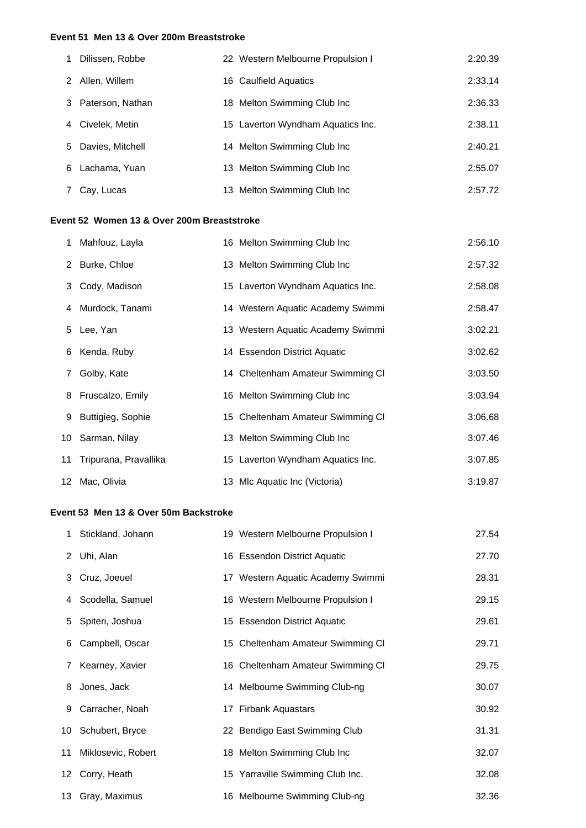#### **Event 51 Men 13 & Over 200m Breaststroke**

| 1  | Dilissen, Robbe  | 22 Western Melbourne Propulsion I | 2:20.39 |
|----|------------------|-----------------------------------|---------|
| 2  | Allen, Willem    | 16 Caulfield Aquatics             | 2:33.14 |
| 3  | Paterson, Nathan | 18 Melton Swimming Club Inc       | 2:36.33 |
| 4  | Civelek, Metin   | 15 Laverton Wyndham Aquatics Inc. | 2:38.11 |
| 5. | Davies, Mitchell | 14 Melton Swimming Club Inc       | 2:40.21 |
| 6  | Lachama, Yuan    | 13 Melton Swimming Club Inc       | 2:55.07 |
|    | Cay, Lucas       | 13 Melton Swimming Club Inc       | 2:57.72 |

## **Event 52 Women 13 & Over 200m Breaststroke**

| 1 Mahfouz, Layla         | 16 Melton Swimming Club Inc       | 2:56.10 |
|--------------------------|-----------------------------------|---------|
| 2 Burke, Chloe           | 13 Melton Swimming Club Inc       | 2:57.32 |
| 3 Cody, Madison          | 15 Laverton Wyndham Aquatics Inc. | 2:58.08 |
| 4 Murdock, Tanami        | 14 Western Aquatic Academy Swimmi | 2:58.47 |
| 5 Lee, Yan               | 13 Western Aquatic Academy Swimmi | 3:02.21 |
| 6 Kenda, Ruby            | 14 Essendon District Aquatic      | 3:02.62 |
| 7 Golby, Kate            | 14 Cheltenham Amateur Swimming CI | 3:03.50 |
| 8 Fruscalzo, Emily       | 16 Melton Swimming Club Inc       | 3:03.94 |
| 9 Buttigieg, Sophie      | 15 Cheltenham Amateur Swimming CI | 3:06.68 |
| 10 Sarman, Nilay         | 13 Melton Swimming Club Inc       | 3:07.46 |
| 11 Tripurana, Pravallika | 15 Laverton Wyndham Aquatics Inc. | 3:07.85 |
| 12 Mac, Olivia           | 13 Mlc Aquatic Inc (Victoria)     | 3:19.87 |

## **Event 53 Men 13 & Over 50m Backstroke**

|   | 1 Stickland, Johann   | 19 Western Melbourne Propulsion I | 27.54 |
|---|-----------------------|-----------------------------------|-------|
|   | 2 Uhi, Alan           | 16 Essendon District Aquatic      | 27.70 |
|   | 3 Cruz, Joeuel        | 17 Western Aquatic Academy Swimmi | 28.31 |
|   | 4 Scodella, Samuel    | 16 Western Melbourne Propulsion I | 29.15 |
|   | 5 Spiteri, Joshua     | 15 Essendon District Aquatic      | 29.61 |
|   | 6 Campbell, Oscar     | 15 Cheltenham Amateur Swimming CI | 29.71 |
| 7 | Kearney, Xavier       | 16 Cheltenham Amateur Swimming CI | 29.75 |
|   | 8 Jones, Jack         | 14 Melbourne Swimming Club-ng     | 30.07 |
|   | 9 Carracher, Noah     | 17 Firbank Aquastars              | 30.92 |
|   | 10 Schubert, Bryce    | 22 Bendigo East Swimming Club     | 31.31 |
|   | 11 Miklosevic, Robert | 18 Melton Swimming Club Inc       | 32.07 |
|   | 12 Corry, Heath       | 15 Yarraville Swimming Club Inc.  | 32.08 |
|   | 13 Gray, Maximus      | 16 Melbourne Swimming Club-ng     | 32.36 |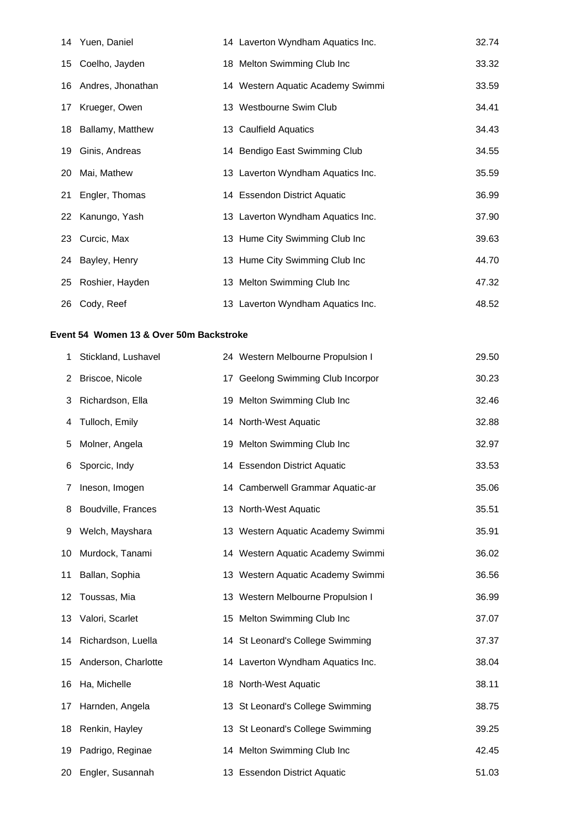|    | 14 Yuen, Daniel      | 14 Laverton Wyndham Aquatics Inc. | 32.74 |
|----|----------------------|-----------------------------------|-------|
|    | 15 Coelho, Jayden    | 18 Melton Swimming Club Inc       | 33.32 |
|    | 16 Andres, Jhonathan | 14 Western Aquatic Academy Swimmi | 33.59 |
| 17 | Krueger, Owen        | 13 Westbourne Swim Club           | 34.41 |
|    | 18 Ballamy, Matthew  | 13 Caulfield Aquatics             | 34.43 |
|    | 19 Ginis, Andreas    | 14 Bendigo East Swimming Club     | 34.55 |
| 20 | Mai, Mathew          | 13 Laverton Wyndham Aquatics Inc. | 35.59 |
| 21 | Engler, Thomas       | 14 Essendon District Aquatic      | 36.99 |
|    | 22 Kanungo, Yash     | 13 Laverton Wyndham Aquatics Inc. | 37.90 |
|    | 23 Curcic, Max       | 13 Hume City Swimming Club Inc    | 39.63 |
|    | 24 Bayley, Henry     | 13 Hume City Swimming Club Inc    | 44.70 |
|    | 25 Roshier, Hayden   | 13 Melton Swimming Club Inc       | 47.32 |
|    | 26 Cody, Reef        | 13 Laverton Wyndham Aquatics Inc. | 48.52 |

## **Event 54 Women 13 & Over 50m Backstroke**

| 1  | Stickland, Lushavel | 24 Western Melbourne Propulsion I | 29.50 |
|----|---------------------|-----------------------------------|-------|
| 2  | Briscoe, Nicole     | 17 Geelong Swimming Club Incorpor | 30.23 |
| 3  | Richardson, Ella    | 19 Melton Swimming Club Inc       | 32.46 |
| 4  | Tulloch, Emily      | 14 North-West Aquatic             | 32.88 |
| 5  | Molner, Angela      | 19 Melton Swimming Club Inc       | 32.97 |
| 6  | Sporcic, Indy       | 14 Essendon District Aquatic      | 33.53 |
| 7  | Ineson, Imogen      | 14 Camberwell Grammar Aquatic-ar  | 35.06 |
| 8  | Boudville, Frances  | 13 North-West Aquatic             | 35.51 |
| 9  | Welch, Mayshara     | 13 Western Aquatic Academy Swimmi | 35.91 |
| 10 | Murdock, Tanami     | 14 Western Aquatic Academy Swimmi | 36.02 |
| 11 | Ballan, Sophia      | 13 Western Aquatic Academy Swimmi | 36.56 |
| 12 | Toussas, Mia        | 13 Western Melbourne Propulsion I | 36.99 |
| 13 | Valori, Scarlet     | 15 Melton Swimming Club Inc       | 37.07 |
| 14 | Richardson, Luella  | 14 St Leonard's College Swimming  | 37.37 |
| 15 | Anderson, Charlotte | 14 Laverton Wyndham Aquatics Inc. | 38.04 |
| 16 | Ha, Michelle        | 18 North-West Aquatic             | 38.11 |
| 17 | Harnden, Angela     | 13 St Leonard's College Swimming  | 38.75 |
| 18 | Renkin, Hayley      | 13 St Leonard's College Swimming  | 39.25 |
| 19 | Padrigo, Reginae    | 14 Melton Swimming Club Inc       | 42.45 |
| 20 | Engler, Susannah    | 13 Essendon District Aquatic      | 51.03 |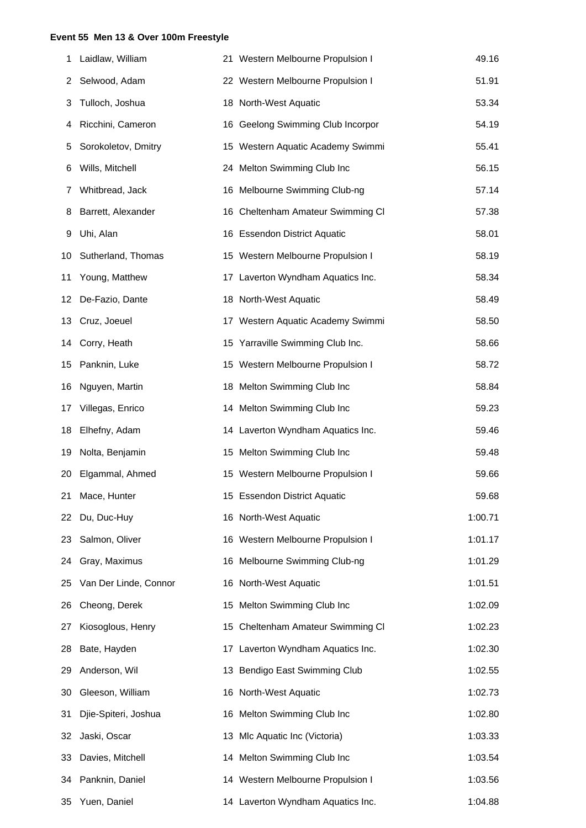#### **Event 55 Men 13 & Over 100m Freestyle**

| 1  | Laidlaw, William      | 21 Western Melbourne Propulsion I | 49.16   |
|----|-----------------------|-----------------------------------|---------|
| 2  | Selwood, Adam         | 22 Western Melbourne Propulsion I | 51.91   |
| 3  | Tulloch, Joshua       | 18 North-West Aquatic             | 53.34   |
| 4  | Ricchini, Cameron     | 16 Geelong Swimming Club Incorpor | 54.19   |
| 5  | Sorokoletov, Dmitry   | 15 Western Aquatic Academy Swimmi | 55.41   |
| 6  | Wills, Mitchell       | 24 Melton Swimming Club Inc       | 56.15   |
| 7  | Whitbread, Jack       | 16 Melbourne Swimming Club-ng     | 57.14   |
| 8  | Barrett, Alexander    | 16 Cheltenham Amateur Swimming CI | 57.38   |
| 9  | Uhi, Alan             | 16 Essendon District Aquatic      | 58.01   |
| 10 | Sutherland, Thomas    | 15 Western Melbourne Propulsion I | 58.19   |
| 11 | Young, Matthew        | 17 Laverton Wyndham Aquatics Inc. | 58.34   |
| 12 | De-Fazio, Dante       | 18 North-West Aquatic             | 58.49   |
| 13 | Cruz, Joeuel          | 17 Western Aquatic Academy Swimmi | 58.50   |
| 14 | Corry, Heath          | 15 Yarraville Swimming Club Inc.  | 58.66   |
| 15 | Panknin, Luke         | 15 Western Melbourne Propulsion I | 58.72   |
| 16 | Nguyen, Martin        | 18 Melton Swimming Club Inc       | 58.84   |
| 17 | Villegas, Enrico      | 14 Melton Swimming Club Inc       | 59.23   |
| 18 | Elhefny, Adam         | 14 Laverton Wyndham Aquatics Inc. | 59.46   |
| 19 | Nolta, Benjamin       | 15 Melton Swimming Club Inc       | 59.48   |
| 20 | Elgammal, Ahmed       | 15 Western Melbourne Propulsion I | 59.66   |
|    | 21 Mace, Hunter       | 15 Essendon District Aquatic      | 59.68   |
| 22 | Du, Duc-Huy           | 16 North-West Aquatic             | 1:00.71 |
| 23 | Salmon, Oliver        | 16 Western Melbourne Propulsion I | 1:01.17 |
| 24 | Gray, Maximus         | 16 Melbourne Swimming Club-ng     | 1:01.29 |
| 25 | Van Der Linde, Connor | 16 North-West Aquatic             | 1:01.51 |
| 26 | Cheong, Derek         | 15 Melton Swimming Club Inc       | 1:02.09 |
| 27 | Kiosoglous, Henry     | 15 Cheltenham Amateur Swimming CI | 1:02.23 |
| 28 | Bate, Hayden          | 17 Laverton Wyndham Aquatics Inc. | 1:02.30 |
| 29 | Anderson, Wil         | 13 Bendigo East Swimming Club     | 1:02.55 |
| 30 | Gleeson, William      | 16 North-West Aquatic             | 1:02.73 |
| 31 | Djie-Spiteri, Joshua  | 16 Melton Swimming Club Inc       | 1:02.80 |
| 32 | Jaski, Oscar          | 13 Mlc Aquatic Inc (Victoria)     | 1:03.33 |
| 33 | Davies, Mitchell      | 14 Melton Swimming Club Inc       | 1:03.54 |
| 34 | Panknin, Daniel       | 14 Western Melbourne Propulsion I | 1:03.56 |
| 35 | Yuen, Daniel          | 14 Laverton Wyndham Aquatics Inc. | 1:04.88 |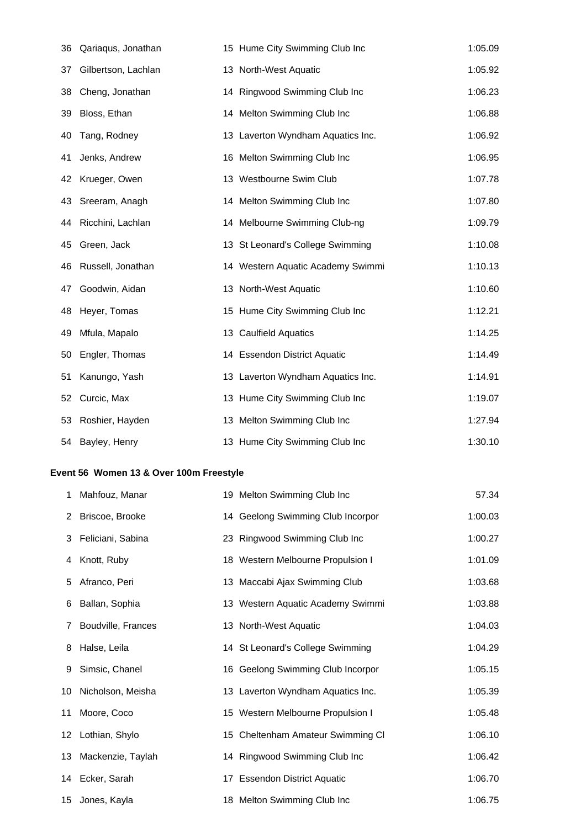| 36 | Qariaqus, Jonathan  | 15 Hume City Swimming Club Inc    | 1:05.09 |
|----|---------------------|-----------------------------------|---------|
| 37 | Gilbertson, Lachlan | 13 North-West Aquatic             | 1:05.92 |
| 38 | Cheng, Jonathan     | 14 Ringwood Swimming Club Inc     | 1:06.23 |
| 39 | Bloss, Ethan        | 14 Melton Swimming Club Inc       | 1:06.88 |
| 40 | Tang, Rodney        | 13 Laverton Wyndham Aquatics Inc. | 1:06.92 |
| 41 | Jenks, Andrew       | 16 Melton Swimming Club Inc       | 1:06.95 |
| 42 | Krueger, Owen       | 13 Westbourne Swim Club           | 1:07.78 |
| 43 | Sreeram, Anagh      | 14 Melton Swimming Club Inc       | 1:07.80 |
| 44 | Ricchini, Lachlan   | 14 Melbourne Swimming Club-ng     | 1:09.79 |
| 45 | Green, Jack         | 13 St Leonard's College Swimming  | 1:10.08 |
| 46 | Russell, Jonathan   | 14 Western Aquatic Academy Swimmi | 1:10.13 |
| 47 | Goodwin, Aidan      | 13 North-West Aquatic             | 1:10.60 |
| 48 | Heyer, Tomas        | 15 Hume City Swimming Club Inc    | 1:12.21 |
| 49 | Mfula, Mapalo       | 13 Caulfield Aquatics             | 1:14.25 |
| 50 | Engler, Thomas      | 14 Essendon District Aquatic      | 1:14.49 |
| 51 | Kanungo, Yash       | 13 Laverton Wyndham Aquatics Inc. | 1:14.91 |
| 52 | Curcic, Max         | 13 Hume City Swimming Club Inc    | 1:19.07 |
| 53 | Roshier, Hayden     | 13 Melton Swimming Club Inc       | 1:27.94 |
| 54 | Bayley, Henry       | 13 Hume City Swimming Club Inc    | 1:30.10 |

## **Event 56 Women 13 & Over 100m Freestyle**

| 1  | Mahfouz, Manar       | 19 Melton Swimming Club Inc       | 57.34   |
|----|----------------------|-----------------------------------|---------|
|    | 2 Briscoe, Brooke    | 14 Geelong Swimming Club Incorpor | 1:00.03 |
|    | 3 Feliciani, Sabina  | 23 Ringwood Swimming Club Inc     | 1:00.27 |
|    | 4 Knott, Ruby        | 18 Western Melbourne Propulsion I | 1:01.09 |
| 5  | Afranco, Peri        | 13 Maccabi Ajax Swimming Club     | 1:03.68 |
| 6  | Ballan, Sophia       | 13 Western Aquatic Academy Swimmi | 1:03.88 |
| 7  | Boudville, Frances   | 13 North-West Aquatic             | 1:04.03 |
| 8  | Halse, Leila         | 14 St Leonard's College Swimming  | 1:04.29 |
| 9  | Simsic, Chanel       | 16 Geelong Swimming Club Incorpor | 1:05.15 |
|    | 10 Nicholson, Meisha | 13 Laverton Wyndham Aquatics Inc. | 1:05.39 |
| 11 | Moore, Coco          | 15 Western Melbourne Propulsion I | 1:05.48 |
|    | 12 Lothian, Shylo    | 15 Cheltenham Amateur Swimming CI | 1:06.10 |
|    | 13 Mackenzie, Taylah | 14 Ringwood Swimming Club Inc     | 1:06.42 |
|    | 14 Ecker, Sarah      | 17 Essendon District Aquatic      | 1:06.70 |
|    | 15 Jones, Kayla      | 18 Melton Swimming Club Inc       | 1:06.75 |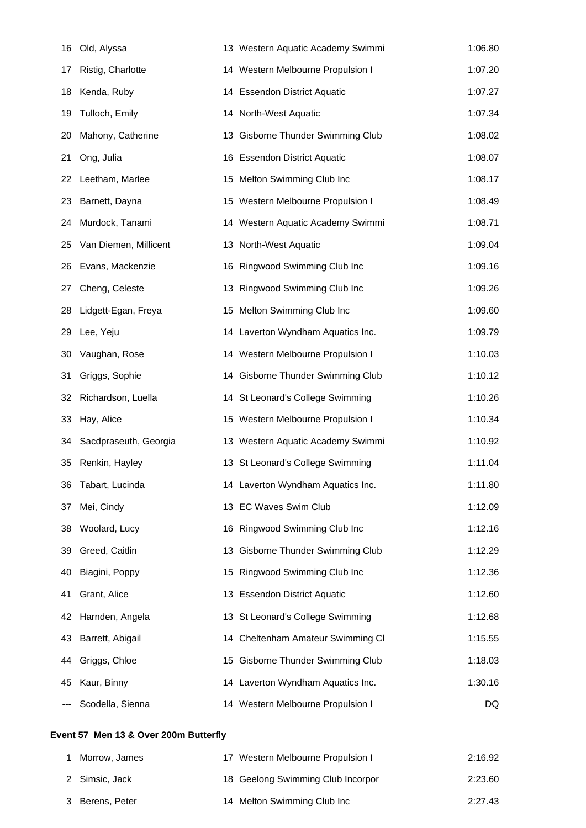| 16 | Old, Alyssa           | 13 Western Aquatic Academy Swimmi | 1:06.80 |
|----|-----------------------|-----------------------------------|---------|
| 17 | Ristig, Charlotte     | 14 Western Melbourne Propulsion I | 1:07.20 |
| 18 | Kenda, Ruby           | 14 Essendon District Aquatic      | 1:07.27 |
| 19 | Tulloch, Emily        | 14 North-West Aquatic             | 1:07.34 |
| 20 | Mahony, Catherine     | 13 Gisborne Thunder Swimming Club | 1:08.02 |
| 21 | Ong, Julia            | 16 Essendon District Aquatic      | 1:08.07 |
| 22 | Leetham, Marlee       | 15 Melton Swimming Club Inc       | 1:08.17 |
| 23 | Barnett, Dayna        | 15 Western Melbourne Propulsion I | 1:08.49 |
| 24 | Murdock, Tanami       | 14 Western Aquatic Academy Swimmi | 1:08.71 |
| 25 | Van Diemen, Millicent | 13 North-West Aquatic             | 1:09.04 |
| 26 | Evans, Mackenzie      | 16 Ringwood Swimming Club Inc     | 1:09.16 |
| 27 | Cheng, Celeste        | 13 Ringwood Swimming Club Inc     | 1:09.26 |
| 28 | Lidgett-Egan, Freya   | 15 Melton Swimming Club Inc       | 1:09.60 |
| 29 | Lee, Yeju             | 14 Laverton Wyndham Aquatics Inc. | 1:09.79 |
| 30 | Vaughan, Rose         | 14 Western Melbourne Propulsion I | 1:10.03 |
| 31 | Griggs, Sophie        | 14 Gisborne Thunder Swimming Club | 1:10.12 |
| 32 | Richardson, Luella    | 14 St Leonard's College Swimming  | 1:10.26 |
| 33 | Hay, Alice            | 15 Western Melbourne Propulsion I | 1:10.34 |
| 34 | Sacdpraseuth, Georgia | 13 Western Aquatic Academy Swimmi | 1:10.92 |
| 35 | Renkin, Hayley        | 13 St Leonard's College Swimming  | 1:11.04 |
| 36 | Tabart, Lucinda       | 14 Laverton Wyndham Aquatics Inc. | 1:11.80 |
| 37 | Mei, Cindy            | 13 EC Waves Swim Club             | 1:12.09 |
| 38 | Woolard, Lucy         | 16 Ringwood Swimming Club Inc     | 1:12.16 |
| 39 | Greed, Caitlin        | 13 Gisborne Thunder Swimming Club | 1:12.29 |
| 40 | Biagini, Poppy        | 15 Ringwood Swimming Club Inc     | 1:12.36 |
| 41 | Grant, Alice          | 13 Essendon District Aquatic      | 1:12.60 |
| 42 | Harnden, Angela       | 13 St Leonard's College Swimming  | 1:12.68 |
| 43 | Barrett, Abigail      | 14 Cheltenham Amateur Swimming Cl | 1:15.55 |
| 44 | Griggs, Chloe         | 15 Gisborne Thunder Swimming Club | 1:18.03 |
| 45 | Kaur, Binny           | 14 Laverton Wyndham Aquatics Inc. | 1:30.16 |
|    | Scodella, Sienna      | 14 Western Melbourne Propulsion I | DQ      |

## **Event 57 Men 13 & Over 200m Butterfly**

| Morrow, James   | Western Melbourne Propulsion I<br>17 | 2:16.92 |
|-----------------|--------------------------------------|---------|
| 2 Simsic, Jack  | 18 Geelong Swimming Club Incorpor    | 2:23.60 |
| 3 Berens, Peter | 14 Melton Swimming Club Inc          | 2:27.43 |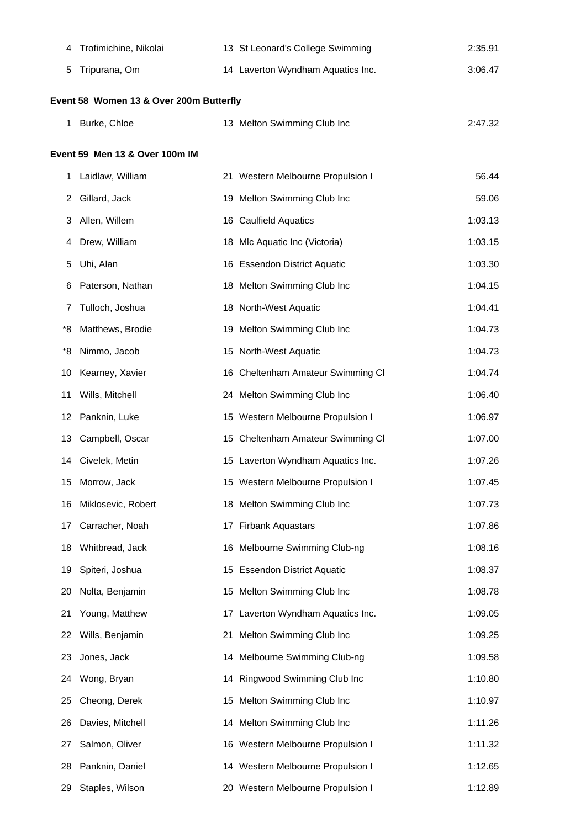| 4  | Trofimichine, Nikolai                   | 13 St Leonard's College Swimming  | 2:35.91 |
|----|-----------------------------------------|-----------------------------------|---------|
| 5  | Tripurana, Om                           | 14 Laverton Wyndham Aquatics Inc. | 3:06.47 |
|    | Event 58 Women 13 & Over 200m Butterfly |                                   |         |
| 1  | Burke, Chloe                            | 13 Melton Swimming Club Inc       | 2:47.32 |
|    | Event 59 Men 13 & Over 100m IM          |                                   |         |
| 1  | Laidlaw, William                        | 21 Western Melbourne Propulsion I | 56.44   |
| 2  | Gillard, Jack                           | 19 Melton Swimming Club Inc       | 59.06   |
| 3  | Allen, Willem                           | 16 Caulfield Aquatics             | 1:03.13 |
| 4  | Drew, William                           | 18 Mlc Aquatic Inc (Victoria)     | 1:03.15 |
| 5  | Uhi, Alan                               | 16 Essendon District Aquatic      | 1:03.30 |
| 6  | Paterson, Nathan                        | 18 Melton Swimming Club Inc       | 1:04.15 |
|    | Tulloch, Joshua                         | 18 North-West Aquatic             | 1:04.41 |
| *8 | Matthews, Brodie                        | 19 Melton Swimming Club Inc       | 1:04.73 |
| *8 | Nimmo, Jacob                            | 15 North-West Aquatic             | 1:04.73 |
| 10 | Kearney, Xavier                         | 16 Cheltenham Amateur Swimming CI | 1:04.74 |
| 11 | Wills, Mitchell                         | 24 Melton Swimming Club Inc       | 1:06.40 |
| 12 | Panknin, Luke                           | 15 Western Melbourne Propulsion I | 1:06.97 |
| 13 | Campbell, Oscar                         | 15 Cheltenham Amateur Swimming CI | 1:07.00 |
|    | 14 Civelek, Metin                       | 15 Laverton Wyndham Aquatics Inc. | 1:07.26 |
|    | 15 Morrow, Jack                         | 15 Western Melbourne Propulsion I | 1:07.45 |
| 16 | Miklosevic, Robert                      | 18 Melton Swimming Club Inc       | 1:07.73 |
| 17 | Carracher, Noah                         | 17 Firbank Aquastars              | 1:07.86 |
| 18 | Whitbread, Jack                         | 16 Melbourne Swimming Club-ng     | 1:08.16 |
| 19 | Spiteri, Joshua                         | 15 Essendon District Aquatic      | 1:08.37 |
| 20 | Nolta, Benjamin                         | 15 Melton Swimming Club Inc       | 1:08.78 |
| 21 | Young, Matthew                          | 17 Laverton Wyndham Aquatics Inc. | 1:09.05 |
| 22 | Wills, Benjamin                         | 21 Melton Swimming Club Inc       | 1:09.25 |
| 23 | Jones, Jack                             | 14 Melbourne Swimming Club-ng     | 1:09.58 |
| 24 | Wong, Bryan                             | 14 Ringwood Swimming Club Inc     | 1:10.80 |
| 25 | Cheong, Derek                           | 15 Melton Swimming Club Inc       | 1:10.97 |
| 26 | Davies, Mitchell                        | 14 Melton Swimming Club Inc       | 1:11.26 |
| 27 | Salmon, Oliver                          | 16 Western Melbourne Propulsion I | 1:11.32 |
| 28 | Panknin, Daniel                         | 14 Western Melbourne Propulsion I | 1:12.65 |
| 29 | Staples, Wilson                         | 20 Western Melbourne Propulsion I | 1:12.89 |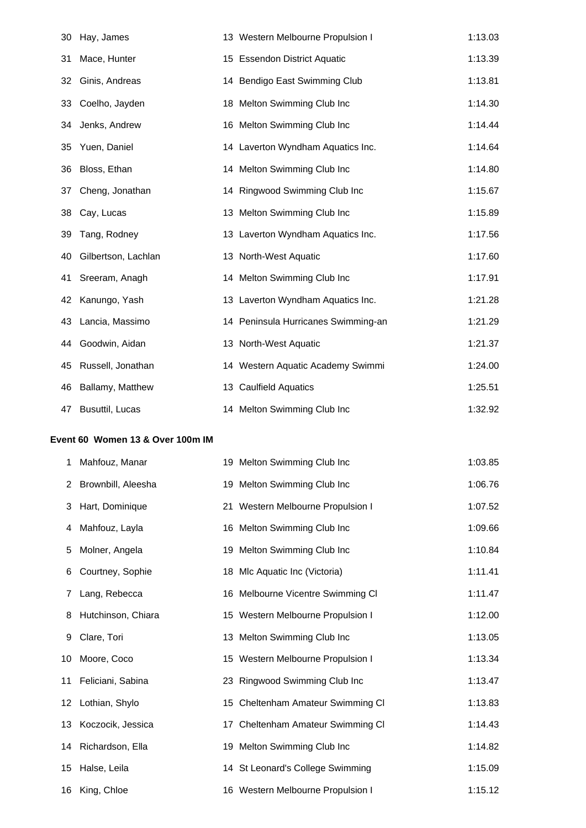| 30 | Hay, James             | 13 Western Melbourne Propulsion I   | 1:13.03 |
|----|------------------------|-------------------------------------|---------|
| 31 | Mace, Hunter           | 15 Essendon District Aquatic        | 1:13.39 |
| 32 | Ginis, Andreas         | 14 Bendigo East Swimming Club       | 1:13.81 |
| 33 | Coelho, Jayden         | 18 Melton Swimming Club Inc         | 1:14.30 |
| 34 | Jenks, Andrew          | 16 Melton Swimming Club Inc         | 1:14.44 |
| 35 | Yuen, Daniel           | 14 Laverton Wyndham Aquatics Inc.   | 1:14.64 |
| 36 | Bloss, Ethan           | 14 Melton Swimming Club Inc         | 1:14.80 |
| 37 | Cheng, Jonathan        | 14 Ringwood Swimming Club Inc       | 1:15.67 |
| 38 | Cay, Lucas             | 13 Melton Swimming Club Inc         | 1:15.89 |
| 39 | Tang, Rodney           | 13 Laverton Wyndham Aquatics Inc.   | 1:17.56 |
| 40 | Gilbertson, Lachlan    | 13 North-West Aquatic               | 1:17.60 |
| 41 | Sreeram, Anagh         | 14 Melton Swimming Club Inc         | 1:17.91 |
| 42 | Kanungo, Yash          | 13 Laverton Wyndham Aquatics Inc.   | 1:21.28 |
| 43 | Lancia, Massimo        | 14 Peninsula Hurricanes Swimming-an | 1:21.29 |
| 44 | Goodwin, Aidan         | 13 North-West Aquatic               | 1:21.37 |
| 45 | Russell, Jonathan      | 14 Western Aquatic Academy Swimmi   | 1:24.00 |
| 46 | Ballamy, Matthew       | 13 Caulfield Aquatics               | 1:25.51 |
| 47 | <b>Busuttil, Lucas</b> | 14 Melton Swimming Club Inc         | 1:32.92 |

## **Event 60 Women 13 & Over 100m IM**

| 1  | Mahfouz, Manar       | 19 Melton Swimming Club Inc       | 1:03.85 |
|----|----------------------|-----------------------------------|---------|
|    | 2 Brownbill, Aleesha | 19 Melton Swimming Club Inc       | 1:06.76 |
| 3  | Hart, Dominique      | 21 Western Melbourne Propulsion I | 1:07.52 |
| 4  | Mahfouz, Layla       | 16 Melton Swimming Club Inc       | 1:09.66 |
| 5  | Molner, Angela       | 19 Melton Swimming Club Inc       | 1:10.84 |
| 6  | Courtney, Sophie     | 18 Mlc Aquatic Inc (Victoria)     | 1:11.41 |
| 7  | Lang, Rebecca        | 16 Melbourne Vicentre Swimming CI | 1:11.47 |
| 8  | Hutchinson, Chiara   | 15 Western Melbourne Propulsion I | 1:12.00 |
| 9  | Clare, Tori          | 13 Melton Swimming Club Inc       | 1:13.05 |
| 10 | Moore, Coco          | 15 Western Melbourne Propulsion I | 1:13.34 |
| 11 | Feliciani, Sabina    | 23 Ringwood Swimming Club Inc     | 1:13.47 |
|    | 12 Lothian, Shylo    | 15 Cheltenham Amateur Swimming CI | 1:13.83 |
|    | 13 Koczocik, Jessica | 17 Cheltenham Amateur Swimming CI | 1:14.43 |
|    | 14 Richardson, Ella  | 19 Melton Swimming Club Inc       | 1:14.82 |
|    | 15 Halse, Leila      | 14 St Leonard's College Swimming  | 1:15.09 |
|    | 16 King, Chloe       | 16 Western Melbourne Propulsion I | 1:15.12 |